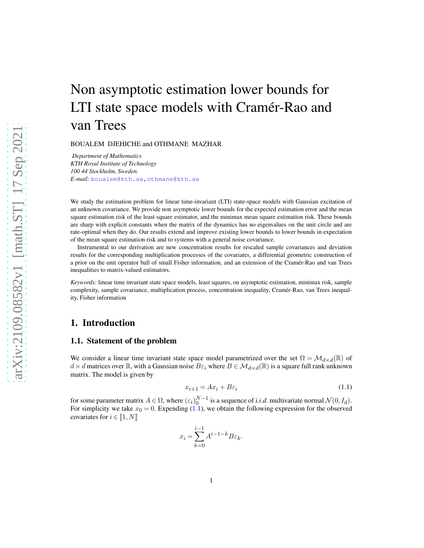# Non asymptotic estimation lower bounds for LTI state space models with Cramér-Rao and van Trees

BOUALEM DJEHICHE and OTHMANE MAZHAR

*Department of Mathematics KTH Royal Institute of Technology 100 44 Stockholm, Sweden. E-mail:* [boualem@kth.se,othmane@kth.se](mailto:boualem@kth.se,othmane@kth.se)

We study the estimation problem for linear time-invariant (LTI) state-space models with Gaussian excitation of an unknown covariance. We provide non asymptotic lower bounds for the expected estimation error and the mean square estimation risk of the least square estimator, and the minimax mean square estimation risk. These bounds are sharp with explicit constants when the matrix of the dynamics has no eigenvalues on the unit circle and are rate-optimal when they do. Our results extend and improve existing lower bounds to lower bounds in expectation of the mean square estimation risk and to systems with a general noise covariance.

Instrumental to our derivation are new concentration results for rescaled sample covariances and deviation results for the corresponding multiplication processes of the covariates, a differential geometric construction of a prior on the unit operator ball of small Fisher information, and an extension of the Cramér-Rao and van Trees inequalities to matrix-valued estimators.

*Keywords:* linear time invariant state space models, least squares, on asymptotic estimation, minimax risk, sample complexity, sample covariance, multiplication process, concentration inequality, Cramér-Rao, van Trees inequality, Fisher information

# 1. Introduction

#### 1.1. Statement of the problem

We consider a linear time invariant state space model parametrized over the set  $\Omega = \mathcal{M}_{d \times d}(\mathbb{R})$  of  $d \times d$  matrices over  $\mathbb R$ , with a Gaussian noise  $B \varepsilon_i$  where  $B \in \mathcal{M}_{d \times d}(\mathbb R)$  is a square full rank unknown matrix. The model is given by

<span id="page-0-0"></span>
$$
x_{i+1} = Ax_i + B\varepsilon_i \tag{1.1}
$$

for some parameter matrix  $A \in \Omega$ , where  $(\varepsilon_i)_0^{N-1}$  is a sequence of *i.i.d.* multivariate normal  $\mathcal{N}(0, I_d)$ . For simplicity we take  $x_0 = 0$ . Expending [\(1.1\)](#page-0-0), we obtain the following expression for the observed covariates for  $i \in [1, N]$ 

$$
x_i = \sum_{k=0}^{i-1} A^{i-1-k} B \varepsilon_k.
$$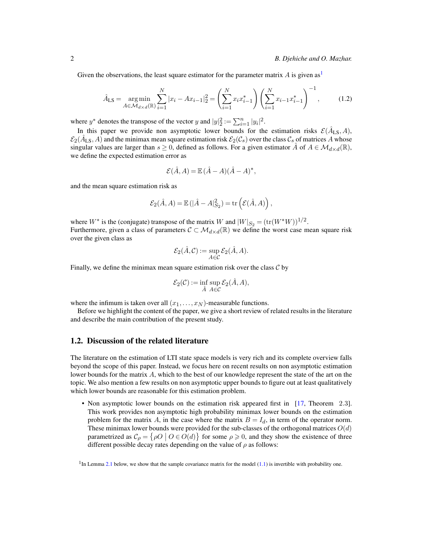Given the observations, the least square estimator for the parameter matrix  $A$  is given as<sup>[1](#page-1-0)</sup>

$$
\hat{A}_{\text{LS}} = \underset{A \in \mathcal{M}_{d \times d}(\mathbb{R})}{\text{arg min}} \sum_{i=1}^{N} |x_i - Ax_{i-1}|_2^2 = \left(\sum_{i=1}^{N} x_i x_{i-1}^*\right) \left(\sum_{i=1}^{N} x_{i-1} x_{i-1}^*\right)^{-1},\tag{1.2}
$$

where  $y^*$  denotes the transpose of the vector y and  $|y|_2^2 := \sum_{i=1}^n |y_i|^2$ .

In this paper we provide non asymptotic lower bounds for the estimation risks  $\mathcal{E}(\hat{A}_{LS}, A)$ ,  $\mathcal{E}_2(\hat{A}_{LS}, A)$  and the minimax mean square estimation risk  $\mathcal{E}_2(\mathcal{C}_s)$  over the class  $\mathcal{C}_s$  of matrices A whose singular values are larger than  $s \ge 0$ , defined as follows. For a given estimator  $\hat{A}$  of  $A \in \mathcal{M}_{d \times d}(\mathbb{R})$ , we define the expected estimation error as

<span id="page-1-1"></span>
$$
\mathcal{E}(\hat{A}, A) = \mathbb{E}(\hat{A} - A)(\hat{A} - A)^*,
$$

and the mean square estimation risk as

$$
\mathcal{E}_2(\hat{A}, A) = \mathbb{E}(|\hat{A} - A|_{S_2}^2) = \text{tr}(\mathcal{E}(\hat{A}, A)),
$$

where  $W^*$  is the (conjugate) transpose of the matrix  $W$  and  $|W|_{S_2} = (\text{tr}(W^*W))^{1/2}$ . Furthermore, given a class of parameters  $C \subset \mathcal{M}_{d \times d}(\mathbb{R})$  we define the worst case mean square risk over the given class as

$$
\mathcal{E}_2(\hat{A}, \mathcal{C}) := \sup_{A \in \mathcal{C}} \mathcal{E}_2(\hat{A}, A).
$$

Finally, we define the minimax mean square estimation risk over the class  $\mathcal C$  by

$$
\mathcal{E}_2(\mathcal{C}):=\inf_{\hat{A}}\sup_{A\in\mathcal{C}}\mathcal{E}_2(\hat{A},A),
$$

where the infimum is taken over all  $(x_1, \ldots, x_N)$ -measurable functions.

Before we highlight the content of the paper, we give a short review of related results in the literature and describe the main contribution of the present study.

#### 1.2. Discussion of the related literature

The literature on the estimation of LTI state space models is very rich and its complete overview falls beyond the scope of this paper. Instead, we focus here on recent results on non asymptotic estimation lower bounds for the matrix A, which to the best of our knowledge represent the state of the art on the topic. We also mention a few results on non asymptotic upper bounds to figure out at least qualitatively which lower bounds are reasonable for this estimation problem.

• Non asymptotic lower bounds on the estimation risk appeared first in [\[17](#page-39-0), Theorem 2.3]. This work provides non asymptotic high probability minimax lower bounds on the estimation problem for the matrix A, in the case where the matrix  $B = I_d$ , in term of the operator norm. These minimax lower bounds were provided for the sub-classes of the orthogonal matrices  $O(d)$ parametrized as  $\mathcal{C}_{\rho} = {\rho O \mid O \in O(d)}$  for some  $\rho \ge 0$ , and they show the existence of three different possible decay rates depending on the value of  $\rho$  as follows:

<span id="page-1-0"></span> $<sup>1</sup>$ In Lemma [2.1](#page-6-0) below, we show that the sample covariance matrix for the model [\(1.1\)](#page-0-0) is invertible with probability one.</sup>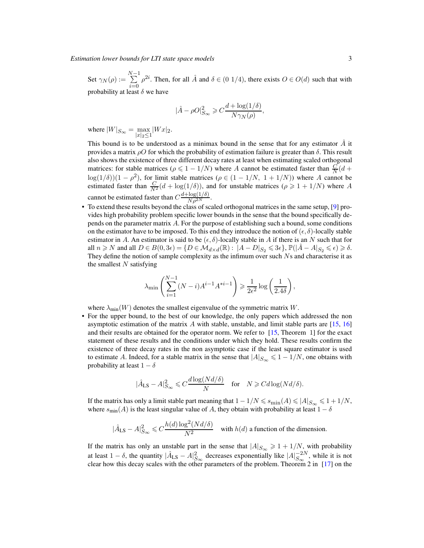*Estimation lower bounds for LTI state space models* 3

Set  $\gamma_N(\rho) := \sum^{N-1}$  $i=0$  $\rho^{2i}$ . Then, for all  $\hat{A}$  and  $\delta \in (0 \ 1/4)$ , there exists  $O \in O(d)$  such that with probability at least  $\delta$  we have

$$
|\hat{A} - \rho O|_{S_{\infty}}^2 \geqslant C \frac{d + \log(1/\delta)}{N \gamma_N(\rho)},
$$

where  $|W|_{S_{\infty}} = \max_{|x|_2 \le 1} |Wx|_2$ .

This bound is to be understood as a minimax bound in the sense that for any estimator  $\hat{A}$  it provides a matrix  $ρO$  for which the probability of estimation failure is greater than δ. This result also shows the existence of three different decay rates at least when estimating scaled orthogonal matrices: for stable matrices ( $\rho \leq 1 - 1/N$ ) where A cannot be estimated faster than  $\frac{C}{N}(d +$  $\log(1/\delta)(1-\rho^2)$ , for limit stable matrices ( $\rho \in (1-1/N, 1+1/N)$ ) where A cannot be estimated faster than  $\frac{C}{N^2}(d + \log(1/\delta))$ , and for unstable matrices  $(\rho \ge 1 + 1/N)$  where A cannot be estimated faster than  $C \frac{d + \log(1/\delta)}{N \rho^{2N}}$ .

• To extend these results beyond the class of scaled orthogonal matrices in the same setup, [\[9](#page-39-1)] provides high probability problem specific lower bounds in the sense that the bound specifically depends on the parameter matrix A. For the purpose of establishing such a bound, some conditions on the estimator have to be imposed. To this end they introduce the notion of  $(\epsilon, \delta)$ -locally stable estimator in A. An estimator is said to be  $(\epsilon, \delta)$ -locally stable in A if there is an N such that for all  $n \geq N$  and all  $D \in B(0, 3\epsilon) = \{D \in \mathcal{M}_{d \times d}(\mathbb{R}) : |A - D|_{S_2} \leq 3\epsilon\}$ ,  $\mathbb{P}(|A - A|_{S_2} \leq \epsilon) \geq \delta$ . They define the notion of sample complexity as the infimum over such  $N_s$  and characterise it as the smallest  $N$  satisfying

$$
\lambda_{\min}\left(\sum_{i=1}^{N-1} (N-i)A^{i-1}A^{*i-1}\right) \geqslant \frac{1}{2\epsilon^2} \log\left(\frac{1}{2.4\delta}\right),
$$

where  $\lambda_{\min}(W)$  denotes the smallest eigenvalue of the symmetric matrix W.

• For the upper bound, to the best of our knowledge, the only papers which addressed the non asymptotic estimation of the matrix A with stable, unstable, and limit stable parts are  $[15, 16]$  $[15, 16]$  $[15, 16]$  $[15, 16]$ and their results are obtained for the operator norm. We refer to [\[15,](#page-39-2) Theorem 1] for the exact statement of these results and the conditions under which they hold. These results confirm the existence of three decay rates in the non asymptotic case if the least square estimator is used to estimate A. Indeed, for a stable matrix in the sense that  $|A|_{S_{\infty}} \leq 1 - 1/N$ , one obtains with probability at least  $1 - \delta$ 

$$
|\hat{A}_{\text{LS}} - A|_{S_{\infty}}^2 \leq C \frac{d \log(Nd/\delta)}{N} \quad \text{for} \quad N \geq C d \log(Nd/\delta).
$$

If the matrix has only a limit stable part meaning that  $1 - 1/N \leq s_{\min}(A) \leq |A|_{S_{\infty}} \leq 1 + 1/N$ , where  $s_{\text{min}}(A)$  is the least singular value of A, they obtain with probability at least  $1 - \delta$ 

$$
|\hat{A}_{\text{LS}} - A|_{S_{\infty}}^2 \leq C \frac{h(d) \log^2(Nd/\delta)}{N^2} \quad \text{with } h(d) \text{ a function of the dimension.}
$$

If the matrix has only an unstable part in the sense that  $|A|_{S_{\infty}} \geq 1 + 1/N$ , with probability at least 1 –  $\delta$ , the quantity  $|\hat{A}_{LS} - A|_{S_{\infty}}^2$  decreases exponentially like  $|A|_{S_{\infty}}^{-2N}$ , while it is not clear how this decay scales with the other parameters of the problem. Theorem 2 in [\[17\]](#page-39-0) on the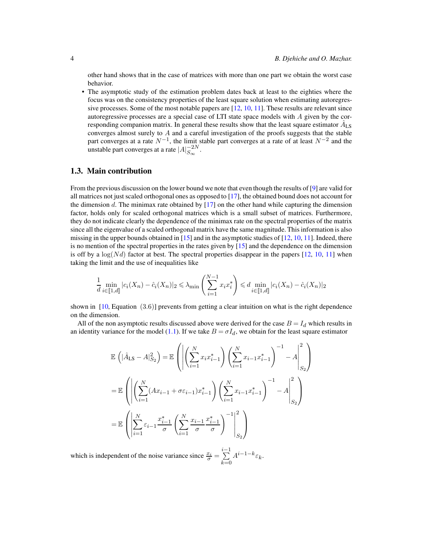other hand shows that in the case of matrices with more than one part we obtain the worst case behavior.

• The asymptotic study of the estimation problem dates back at least to the eighties where the focus was on the consistency properties of the least square solution when estimating autoregressive processes. Some of the most notable papers are [12, [10](#page-39-4), [11\]](#page-39-5). These results are relevant since autoregressive processes are a special case of LTI state space models with A given by the corresponding companion matrix. In general these results show that the least square estimator  $\hat{A}_{LS}$ converges almost surely to A and a careful investigation of the proofs suggests that the stable part converges at a rate  $N^{-1}$ , the limit stable part converges at a rate of at least  $N^{-2}$  and the unstable part converges at a rate  $|A|_{S_{\infty}}^{-2N}$ .

#### 1.3. Main contribution

From the previous discussion on the lower bound we note that even though the results of [\[9\]](#page-39-1) are valid for all matrices not just scaled orthogonal ones as opposed to [\[17\]](#page-39-0), the obtained bound does not account for the dimension  $d$ . The minimax rate obtained by  $[17]$  on the other hand while capturing the dimension factor, holds only for scaled orthogonal matrices which is a small subset of matrices. Furthermore, they do not indicate clearly the dependence of the minimax rate on the spectral properties of the matrix since all the eigenvalue of a scaled orthogonal matrix have the same magnitude. This information is also missing in the upper bounds obtained in  $[15]$  and in the asymptotic studies of  $[12, 10, 11]$  $[12, 10, 11]$  $[12, 10, 11]$  $[12, 10, 11]$ . Indeed, there is no mention of the spectral properties in the rates given by [\[15\]](#page-39-2) and the dependence on the dimension is off by a  $log(Nd)$  factor at best. The spectral properties disappear in the papers [12, [10,](#page-39-4) [11](#page-39-5)] when taking the limit and the use of inequalities like

$$
\frac{1}{d} \min_{i \in [\![1,d]\!]} |c_i(X_n) - \hat{c}_i(X_n)|_2 \le \lambda_{\min} \left( \sum_{i=1}^{N-1} x_i x_i^* \right) \le d \min_{i \in [\![1,d]\!]} |c_i(X_n) - \hat{c}_i(X_n)|_2
$$

shown in  $[10, Equation (3.6)]$  prevents from getting a clear intuition on what is the right dependence on the dimension.

All of the non asymptotic results discussed above were derived for the case  $B = I_d$  which results in an identity variance for the model [\(1.1\)](#page-0-0). If we take  $B = \sigma I_d$ , we obtain for the least square estimator

$$
\mathbb{E}\left(|\hat{A}_{LS} - A|_{S_2}^2\right) = \mathbb{E}\left(\left|\left(\sum_{i=1}^N x_i x_{i-1}^*\right) \left(\sum_{i=1}^N x_{i-1} x_{i-1}^*\right)^{-1} - A\right|_{S_2}^2\right)
$$
\n
$$
= \mathbb{E}\left(\left|\left(\sum_{i=1}^N (Ax_{i-1} + \sigma \varepsilon_{i-1}) x_{i-1}^*\right) \left(\sum_{i=1}^N x_{i-1} x_{i-1}^*\right)^{-1} - A\right|_{S_2}^2\right)
$$
\n
$$
= \mathbb{E}\left(\left|\sum_{i=1}^N \varepsilon_{i-1} \frac{x_{i-1}^*}{\sigma} \left(\sum_{i=1}^N \frac{x_{i-1}}{\sigma} \frac{x_{i-1}^*}{\sigma} \right)^{-1}\right|_{S_2}^2\right)
$$

which is independent of the noise variance since  $\frac{x_i}{\sigma} = \sum_{n=1}^{i-1}$  $_{k=0}$  $A^{i-1-k} \varepsilon_k$ .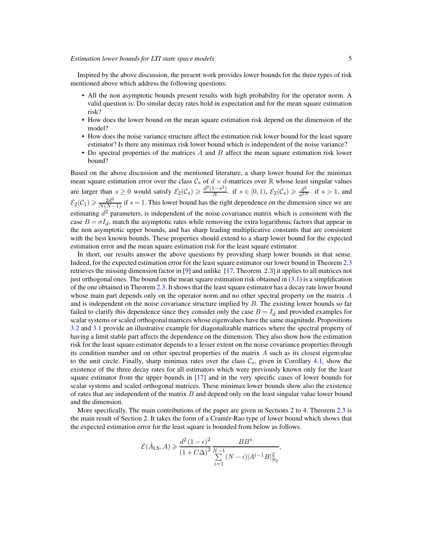Inspired by the above discussion, the present work provides lower bounds for the three types of risk mentioned above which address the following questions:

- All the non asymptotic bounds present results with high probability for the operator norm. A valid question is: Do similar decay rates hold in expectation and for the mean square estimation risk?
- How does the lower bound on the mean square estimation risk depend on the dimension of the model?
- How does the noise variance structure affect the estimation risk lower bound for the least square estimator? Is there any minimax risk lower bound which is independent of the noise variance?
- Do spectral properties of the matrices  $A$  and  $B$  affect the mean square estimation risk lower bound?

Based on the above discussion and the mentioned literature, a sharp lower bound for the minimax mean square estimation error over the class  $C_s$  of  $d \times d$ -matrices over R whose least singular values are larger than  $s \geq 0$  would satisfy  $\mathcal{E}_2(\mathcal{C}_s) \geq \frac{d^2(1-s^2)}{N}$  $\frac{(1-s^2)}{N}$ . if  $s \in [0,1)$ ,  $\mathcal{E}_2(\mathcal{C}_s) \geq \frac{d^2}{s^{2N}}$  $\frac{d^2}{s^{2N}}$ . if  $s > 1$ , and  $\mathcal{E}_2(\mathcal{C}_1) \geq \frac{2d^2}{N(N-1)}$  if s = 1. This lower bound has the right dependence on the dimension since we are estimating  $d^2$  parameters, is independent of the noise covariance matrix which is consistent with the case  $B = \sigma I_d$ , match the asymptotic rates while removing the extra logarithmic factors that appear in the non asymptotic upper bounds, and has sharp leading multiplicative constants that are consistent with the best known bounds. These properties should extend to a sharp lower bound for the expected estimation error and the mean square estimation risk for the least square estimator.

In short, our results answer the above questions by providing sharp lower bounds in that sense. Indeed, for the expected estimation error for the least square estimator our lower bound in Theorem [2.3](#page-10-0) retrieves the missing dimension factor in [\[9\]](#page-39-1) and unlike [\[17,](#page-39-0) Theorem 2.3] it applies to all matrices not just orthogonal ones. The bound on the mean square estimation risk obtained in  $(3.1)$  is a simplification of the one obtained in Theorem [2.3.](#page-10-0) It shows that the least square estimator has a decay rate lower bound whose main part depends only on the operator norm and no other spectral property on the matrix A and is independent on the noise covariance structure implied by  $B$ . The existing lower bounds so far failed to clarify this dependence since they consider only the case  $B = I_d$  and provided examples for scalar systems or scaled orthogonal matrices whose eigenvalues have the same magnitude. Propositions [3.2](#page-17-0) and [3.1](#page-16-0) provide an illustrative example for diagonalizable matrices where the spectral property of having a limit stable part affects the dependence on the dimension. They also show how the estimation risk for the least square estimator depends to a lesser extent on the noise covariance properties through its condition number and on other spectral properties of the matrix  $\vec{A}$  such as its closest eigenvalue to the unit circle. Finally, sharp minimax rates over the class  $\mathcal{C}_s$ , given in Corollary 4.1, show the existence of the three decay rates for all estimators which were previously known only for the least square estimator from the upper bounds in [\[17](#page-39-0)] and in the very specific cases of lower bounds for scalar systems and scaled orthogonal matrices. These minimax lower bounds show also the existence of rates that are independent of the matrix  $B$  and depend only on the least singular value lower bound and the dimension.

More specifically, The main contributions of the paper are given in Sections 2 to 4. Theorem [2.3](#page-10-0) is the main result of Section 2. It takes the form of a Cramér-Rao type of lower bound which shows that the expected estimation error for the least square is bounded from below as follows.

$$
\mathcal{E}(\hat{A}_{\text{LS}}, A) \ge \frac{d^2 (1 - \epsilon)^2}{(1 + C\Delta)^2} \frac{BB^*}{\sum_{i=1}^{N-1} (N - i)|A^{i-1}B|_{S_2}^2},
$$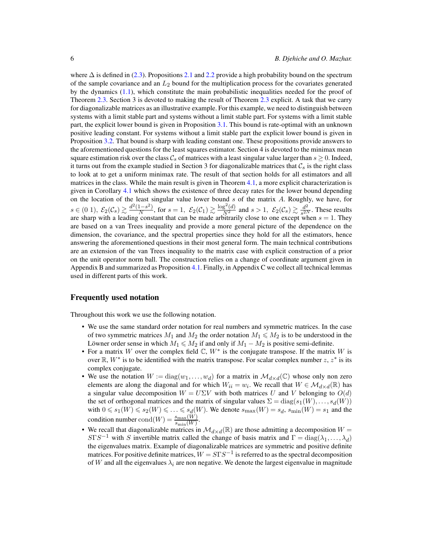where  $\Delta$  is defined in [\(2.3\)](#page-10-1). Propositions [2.1](#page-11-0) and [2.2](#page-11-1) provide a high probability bound on the spectrum of the sample covariance and an  $L_2$  bound for the multiplication process for the covariates generated by the dynamics [\(1.1\)](#page-0-0), which constitute the main probabilistic inequalities needed for the proof of Theorem [2.3.](#page-10-0) Section 3 is devoted to making the result of Theorem [2.3](#page-10-0) explicit. A task that we carry for diagonalizable matrices as an illustrative example. For this example, we need to distinguish between systems with a limit stable part and systems without a limit stable part. For systems with a limit stable part, the explicit lower bound is given in Proposition [3.1.](#page-16-0) This bound is rate-optimal with an unknown positive leading constant. For systems without a limit stable part the explicit lower bound is given in Proposition [3.2.](#page-17-0) That bound is sharp with leading constant one. These propositions provide answers to the aforementioned questions for the least squares estimator. Section 4 is devoted to the minimax mean square estimation risk over the class  $\mathcal{C}_s$  of matrices with a least singular value larger than  $s \geq 0$ . Indeed, it turns out from the example studied in Section 3 for diagonalizable matrices that  $\mathcal{C}_s$  is the right class to look at to get a uniform minimax rate. The result of that section holds for all estimators and all matrices in the class. While the main result is given in Theorem [4.1,](#page-19-0) a more explicit characterization is given in Corollary 4.1 which shows the existence of three decay rates for the lower bound depending on the location of the least singular value lower bound  $s$  of the matrix  $A$ . Roughly, we have, for  $s \in (0\ 1), \ \mathcal{E}_2(\mathcal{C}_s) \gtrsim \frac{d^2(1-s^2)}{N}$  $\frac{(1-s^2)}{N}$ , for  $s=1$ ,  $\mathcal{E}_2(\mathcal{C}_1) \gtrsim \frac{\log^2(d)}{N^2}$  and  $s>1$ ,  $\mathcal{E}_2(\mathcal{C}_s) \gtrsim \frac{d^2}{s^{2N}}$  $rac{a^2}{s^{2N}}$ . These results are sharp with a leading constant that can be made arbitrarily close to one except when  $s = 1$ . They are based on a van Trees inequality and provide a more general picture of the dependence on the dimension, the covariance, and the spectral properties since they hold for all the estimators, hence answering the aforementioned questions in their most general form. The main technical contributions are an extension of the van Trees inequality to the matrix case with explicit construction of a prior on the unit operator norm ball. The construction relies on a change of coordinate argument given in Appendix B and summarized as Proposition [4.1.](#page-22-0) Finally, in Appendix C we collect all technical lemmas used in different parts of this work.

#### Frequently used notation

Throughout this work we use the following notation.

- We use the same standard order notation for real numbers and symmetric matrices. In the case of two symmetric matrices  $M_1$  and  $M_2$  the order notation  $M_1 \leq M_2$  is to be understood in the Löwner order sense in which  $M_1 \leq M_2$  if and only if  $M_1 - M_2$  is positive semi-definite.
- For a matrix W over the complex field  $\mathbb{C}$ ,  $W^*$  is the conjugate transpose. If the matrix W is over  $\mathbb{R}, W^*$  is to be identified with the matrix transpose. For scalar complex number  $z, z^*$  is its complex conjugate.
- We use the notation  $W := diag(w_1, \ldots, w_d)$  for a matrix in  $\mathcal{M}_{d \times d}(\mathbb{C})$  whose only non zero elements are along the diagonal and for which  $W_{ii} = w_i$ . We recall that  $W \in \mathcal{M}_{d \times d}(\mathbb{R})$  has a singular value decomposition  $W = U\Sigma V$  with both matrices U and V belonging to  $O(d)$ the set of orthogonal matrices and the matrix of singular values  $\Sigma = diag(s_1(W), \ldots, s_d(W))$ with  $0 \le s_1(W) \le s_2(W) \le \ldots \le s_d(W)$ . We denote  $s_{\text{max}}(W) = s_d$ ,  $s_{\text{min}}(W) = s_1$  and the condition number  $\text{cond}(W) = \frac{s_{\text{max}}(W)}{s_{\text{min}}(W)}$ .
- We recall that diagonalizable matrices in  $\mathcal{M}_{d\times d}(\mathbb{R})$  are those admitting a decomposition  $W =$  $S\Gamma S^{-1}$  with S invertible matrix called the change of basis matrix and  $\Gamma = \text{diag}(\lambda_1, \dots, \lambda_d)$ the eigenvalues matrix. Example of diagonalizable matrices are symmetric and positive definite matrices. For positive definite matrices,  $W = S\Gamma S^{-1}$  is referred to as the spectral decomposition of W and all the eigenvalues  $\lambda_i$  are non negative. We denote the largest eigenvalue in magnitude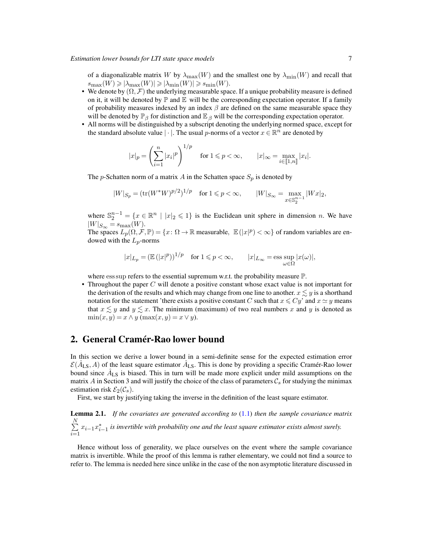of a diagonalizable matrix W by  $\lambda_{\max}(W)$  and the smallest one by  $\lambda_{\min}(W)$  and recall that  $s_{\max}(W) \geqslant |\lambda_{\max}(W)| \geqslant |\lambda_{\min}(W)| \geqslant s_{\min}(W).$ 

- We denote by  $(\Omega, \mathcal{F})$  the underlying measurable space. If a unique probability measure is defined on it, it will be denoted by  $\mathbb P$  and  $\mathbb E$  will be the corresponding expectation operator. If a family of probability measures indexed by an index  $\beta$  are defined on the same measurable space they will be denoted by  $\mathbb{P}_{\beta}$  for distinction and  $\mathbb{E}_{\beta}$  will be the corresponding expectation operator.
- All norms will be distinguished by a subscript denoting the underlying normed space, except for the standard absolute value  $|\cdot|$ . The usual p-norms of a vector  $x \in \mathbb{R}^n$  are denoted by

$$
|x|_p = \left(\sum_{i=1}^n |x_i|^p\right)^{1/p} \quad \text{for } 1 \leq p < \infty, \qquad |x|_\infty = \max_{i \in [\![1,n]\!]} |x_i|.
$$

The p-Schatten norm of a matrix A in the Schatten space  $S_p$  is denoted by

$$
|W|_{S_p} = (\text{tr}(W^*W)^{p/2})^{1/p}
$$
 for  $1 \le p < \infty$ ,  $|W|_{S_\infty} = \max_{x \in \mathbb{S}_2^{n-1}} |Wx|_2$ ,

where  $\mathbb{S}_2^{n-1} = \{x \in \mathbb{R}^n \mid |x|_2 \leq 1\}$  is the Euclidean unit sphere in dimension n. We have  $|W|_{S_{\infty}} = s_{\max}(W).$ 

The spaces  $L_p(\Omega, \mathcal{F}, \mathbb{P}) = \{x \colon \Omega \to \mathbb{R} \text{ measurable}, \ \mathbb{E}(|x|^p) < \infty \}$  of random variables are endowed with the  $L_p$ -norms

$$
|x|_{L_p} = (\mathbb{E}(|x|^p))^{1/p}
$$
 for  $1 \le p < \infty$ ,  $|x|_{L_\infty} = \operatorname{ess} \sup_{\omega \in \Omega} |x(\omega)|$ ,

where ess sup refers to the essential supremum w.r.t. the probability measure  $\mathbb{P}$ .

• Throughout the paper  $C$  will denote a positive constant whose exact value is not important for the derivation of the results and which may change from one line to another.  $x \lesssim y$  is a shorthand notation for the statement 'there exists a positive constant C such that  $x \leq Cy'$  and  $x \simeq y$  means that  $x \lesssim y$  and  $y \lesssim x$ . The minimum (maximum) of two real numbers x and y is denoted as  $\min(x, y) = x \wedge y$  ( $\max(x, y) = x \vee y$ ).

# 2. General Cramér-Rao lower bound

In this section we derive a lower bound in a semi-definite sense for the expected estimation error  $\mathcal{E}(\hat{A}_{LS}, A)$  of the least square estimator  $\hat{A}_{LS}$ . This is done by providing a specific Cramér-Rao lower bound since  $\hat{A}_{LS}$  is biased. This in turn will be made more explicit under mild assumptions on the matrix A in Section 3 and will justify the choice of the class of parameters  $\mathcal{C}_s$  for studying the minimax estimation risk  $\mathcal{E}_2(\mathcal{C}_s)$ .

First, we start by justifying taking the inverse in the definition of the least square estimator.

<span id="page-6-0"></span>Lemma 2.1. *If the covariates are generated according to* [\(1.1\)](#page-0-0) *then the sample covariance matrix*  $\sum^N$  $\sum_{i=1}^{n} x_{i-1} x_{i-1}^*$  is invertible with probability one and the least square estimator exists almost surely.

Hence without loss of generality, we place ourselves on the event where the sample covariance matrix is invertible. While the proof of this lemma is rather elementary, we could not find a source to refer to. The lemma is needed here since unlike in the case of the non asymptotic literature discussed in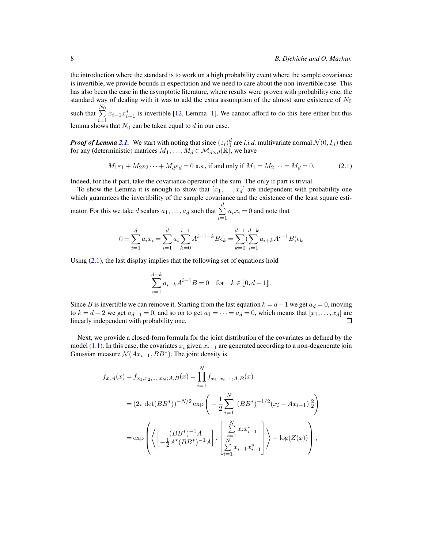the introduction where the standard is to work on a high probability event where the sample covariance is invertible, we provide bounds in expectation and we need to care about the non-invertible case. This has also been the case in the asymptotic literature, where results were proven with probability one, the standard way of dealing with it was to add the extra assumption of the almost sure existence of  $N_0$ such that  $\sum^{\text{N}_0}$  $\sum_{i=1}^{n} x_{i-1} x_{i-1}^*$  is invertible [12, Lemma 1]. We cannot afford to do this here either but this

lemma shows that  $N_0$  can be taken equal to d in our case.

*Proof of Lemma [2.1.](#page-6-0)* We start with noting that since  $(\epsilon_i)^d_1$  are *i.i.d.* multivariate normal  $\mathcal{N}(0, I_d)$  then for any (deterministic) matrices  $M_1, \ldots, M_d \in \mathcal{M}_{d \times d}(\mathbb{R})$ , we have

<span id="page-7-0"></span>
$$
M_1\varepsilon_1 + M_2\varepsilon_2 \cdots + M_d\varepsilon_d = 0
$$
 a.s., if and only if  $M_1 = M_2 \cdots = M_d = 0.$  (2.1)

Indeed, for the if part, take the covariance operator of the sum. The only if part is trivial.

To show the Lemma it is enough to show that  $[x_1, \ldots, x_d]$  are independent with probability one which guarantees the invertibility of the sample covariance and the existence of the least square esti-

mator. For this we take *d* scalars  $a_1, \ldots, a_d$  such that  $\sum^d$  $\sum_{i=1} a_i x_i = 0$  and note that

$$
0 = \sum_{i=1}^{d} a_i x_i = \sum_{i=1}^{d} a_i \sum_{k=0}^{i-1} A^{i-1-k} B \epsilon_k = \sum_{k=0}^{d-1} (\sum_{i=1}^{d-k} a_{i+k} A^{i-1} B) \epsilon_k
$$

Using  $(2.1)$ , the last display implies that the following set of equations hold

$$
\sum_{i=1}^{d-k} a_{i+k} A^{i-1} B = 0 \text{ for } k \in [0, d-1].
$$

Since B is invertible we can remove it. Starting from the last equation  $k = d - 1$  we get  $a_d = 0$ , moving to  $k = d - 2$  we get  $a_{d-1} = 0$ , and so on to get  $a_1 = \cdots = a_d = 0$ , which means that  $[x_1, \ldots, x_d]$  are linearly independent with probability one. linearly independent with probability one.

Next, we provide a closed-form formula for the joint distribution of the covariates as defined by the model [\(1.1\)](#page-0-0). In this case, the covariates  $x_i$  given  $x_{i-1}$  are generated according to a non-degenerate join Gaussian measure  $\mathcal{N}(Ax_{i-1},BB^*)$ . The joint density is

$$
f_{x;A}(x) = f_{x_1,x_2,...,x_N;A,B}(x) = \prod_{i=1}^{N} f_{x_i | x_{i-1};A,B}(x)
$$
  
=  $(2\pi \det(BB^*))^{-N/2} \exp\left(-\frac{1}{2} \sum_{i=1}^{N} |(BB^*)^{-1/2} (x_i - Ax_{i-1})|_2^2\right)$   
=  $\exp\left(\left\langle \left[\frac{(BB^*)^{-1}A}{-\frac{1}{2}A^*(BB^*)^{-1}A}\right], \left[\sum_{i=1}^{N} x_i x_{i-1}^*\right] \right\rangle - \log(Z(x))\right),$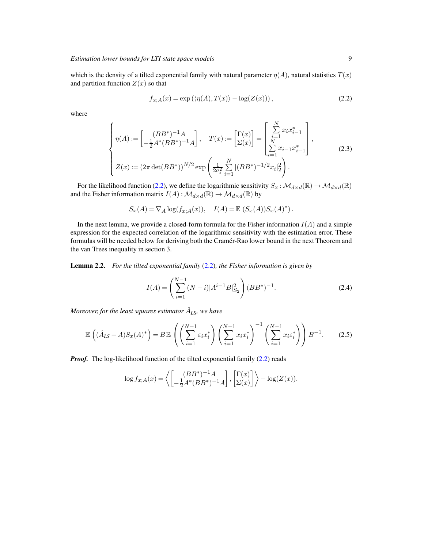which is the density of a tilted exponential family with natural parameter  $\eta(A)$ , natural statistics  $T(x)$ and partition function  $Z(x)$  so that

<span id="page-8-0"></span>
$$
f_{x;A}(x) = \exp\left(\langle \eta(A), T(x) \rangle - \log(Z(x))\right),\tag{2.2}
$$

where

$$
\begin{cases}\n\eta(A) := \begin{bmatrix}\n(BB^*)^{-1}A \\
-\frac{1}{2}A^*(BB^*)^{-1}A\n\end{bmatrix}, & T(x) := \begin{bmatrix}\n\Gamma(x) \\
\Sigma(x)\n\end{bmatrix} = \begin{bmatrix}\n\sum_{i=1}^N x_i x_{i-1}^* \\
\sum_{i=1}^N x_{i-1} x_{i-1}^*\n\end{bmatrix}, \\
Z(x) := (2\pi \det(BB^*))^{N/2} \exp\left(\frac{1}{2\sigma_{\varepsilon}^2} \sum_{i=1}^N |(BB^*)^{-1/2} x_i|_2^2\right).\n\end{cases}
$$
\n(2.3)

For the likelihood function [\(2.2\)](#page-8-0), we define the logarithmic sensitivity  $S_x : \mathcal{M}_{d \times d}(\mathbb{R}) \to \mathcal{M}_{d \times d}(\mathbb{R})$ and the Fisher information matrix  $I(A) : \mathcal{M}_{d \times d}(\mathbb{R}) \to \mathcal{M}_{d \times d}(\mathbb{R})$  by

$$
S_x(A) = \nabla_A \log(f_{x;A}(x)), \quad I(A) = \mathbb{E} \left( S_x(A) \right) S_x(A)^*.
$$

In the next lemma, we provide a closed-form formula for the Fisher information  $I(A)$  and a simple expression for the expected correlation of the logarithmic sensitivity with the estimation error. These formulas will be needed below for deriving both the Cramér-Rao lower bound in the next Theorem and the van Trees inequality in section 3.

<span id="page-8-2"></span>Lemma 2.2. *For the tilted exponential family* [\(2.2\)](#page-8-0)*, the Fisher information is given by*

<span id="page-8-1"></span>
$$
I(A) = \left(\sum_{i=1}^{N-1} (N-i)|A^{i-1}B|_{S_2}^2\right) (BB^*)^{-1}.
$$
 (2.4)

*Moreover, for the least squares estimator*  $\hat{A}_{LS}$ *, we have* 

$$
\mathbb{E}\left((\hat{A}_{LS}-A)S_x(A)^*\right) = B\mathbb{E}\left(\left(\sum_{i=1}^{N-1}\varepsilon_i x_i^*\right)\left(\sum_{i=1}^{N-1}x_i x_i^*\right)^{-1}\left(\sum_{i=1}^{N-1}x_i\varepsilon_i^*\right)\right)B^{-1}.\tag{2.5}
$$

*Proof.* The log-likelihood function of the tilted exponential family [\(2.2\)](#page-8-0) reads

$$
\log f_{x;A}(x) = \left\langle \begin{bmatrix} (BB^*)^{-1}A \\ -\frac{1}{2}A^*(BB^*)^{-1}A \end{bmatrix}, \begin{bmatrix} \Gamma(x) \\ \Sigma(x) \end{bmatrix} \right\rangle - \log(Z(x)).
$$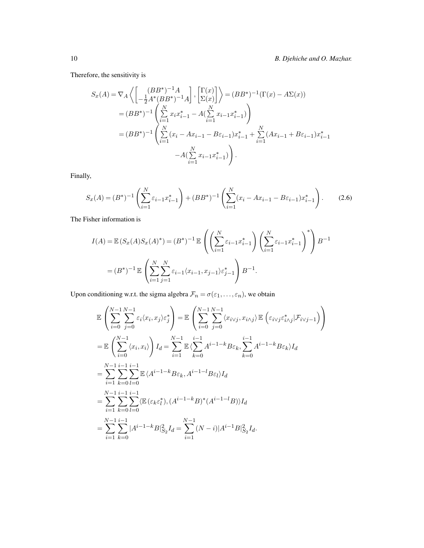Therefore, the sensitivity is

$$
S_x(A) = \nabla_A \left\langle \begin{bmatrix} (BB^*)^{-1}A \\ -\frac{1}{2}A^*(BB^*)^{-1}A \end{bmatrix}, \begin{bmatrix} \Gamma(x) \\ \Sigma(x) \end{bmatrix} \right\rangle = (BB^*)^{-1}(\Gamma(x) - A\Sigma(x))
$$
  
\n
$$
= (BB^*)^{-1} \left( \sum_{i=1}^N x_i x_{i-1}^* - A(\sum_{i=1}^N x_{i-1} x_{i-1}^*) \right)
$$
  
\n
$$
= (BB^*)^{-1} \left( \sum_{i=1}^N (x_i - Ax_{i-1} - B\varepsilon_{i-1})x_{i-1}^* + \sum_{i=1}^N (Ax_{i-1} + B\varepsilon_{i-1})x_{i-1}^* - A(\sum_{i=1}^N x_{i-1} x_{i-1}^*) \right).
$$

Finally,

<span id="page-9-0"></span>
$$
S_x(A) = (B^*)^{-1} \left( \sum_{i=1}^N \varepsilon_{i-1} x_{i-1}^* \right) + (BB^*)^{-1} \left( \sum_{i=1}^N (x_i - Ax_{i-1} - B\varepsilon_{i-1}) x_{i-1}^* \right). \tag{2.6}
$$

The Fisher information is

$$
I(A) = \mathbb{E}\left(S_x(A)S_x(A)^*\right) = (B^*)^{-1} \mathbb{E}\left(\left(\sum_{i=1}^N \varepsilon_{i-1} x_{i-1}^*\right) \left(\sum_{i=1}^N \varepsilon_{i-1} x_{i-1}^*\right)^*\right) B^{-1}
$$
  
=  $(B^*)^{-1} \mathbb{E}\left(\sum_{i=1}^N \sum_{j=1}^N \varepsilon_{i-1} \langle x_{i-1}, x_{j-1} \rangle \varepsilon_{j-1}^*\right) B^{-1}.$ 

Upon conditioning w.r.t. the sigma algebra  $\mathcal{F}_n = \sigma(\varepsilon_1, \dots, \varepsilon_n)$ , we obtain

$$
\mathbb{E}\left(\sum_{i=0}^{N-1}\sum_{j=0}^{N-1}\varepsilon_{i}\langle x_{i},x_{j}\rangle\varepsilon_{j}^{*}\right) = \mathbb{E}\left(\sum_{i=0}^{N-1}\sum_{j=0}^{N-1}\langle x_{i\vee j},x_{i\wedge j}\rangle \mathbb{E}\left(\varepsilon_{i\vee j}\varepsilon_{i\wedge j}^{*}|\mathcal{F}_{i\vee j-1}\right)\right)
$$
\n
$$
= \mathbb{E}\left(\sum_{i=0}^{N-1}\langle x_{i},x_{i}\rangle\right)I_{d} = \sum_{i=1}^{N-1}\mathbb{E}\left\langle\sum_{k=0}^{i-1}A^{i-1-k}B\varepsilon_{k},\sum_{k=0}^{i-1}A^{i-1-k}B\varepsilon_{k}\right\rangle I_{d}
$$
\n
$$
= \sum_{i=1}^{N-1}\sum_{k=0}^{i-1}\sum_{l=0}^{i-1}\mathbb{E}\left\langle A^{i-1-k}B\varepsilon_{k},A^{i-1-l}B\varepsilon_{l}\right\rangle I_{d}
$$
\n
$$
= \sum_{i=1}^{N-1}\sum_{k=0}^{i-1}\sum_{l=0}^{i-1}\langle \mathbb{E}\left(\varepsilon_{k}\varepsilon_{l}^{*}\right),\left(A^{i-1-k}B\right)^{*}\left(A^{i-1-l}B\right)\rangle I_{d}
$$
\n
$$
= \sum_{i=1}^{N-1}\sum_{k=0}^{i-1}|A^{i-1-k}B|_{S_{2}}^{2}I_{d} = \sum_{i=1}^{N-1}\left(N-i\right)|A^{i-1}B|_{S_{2}}^{2}I_{d}.
$$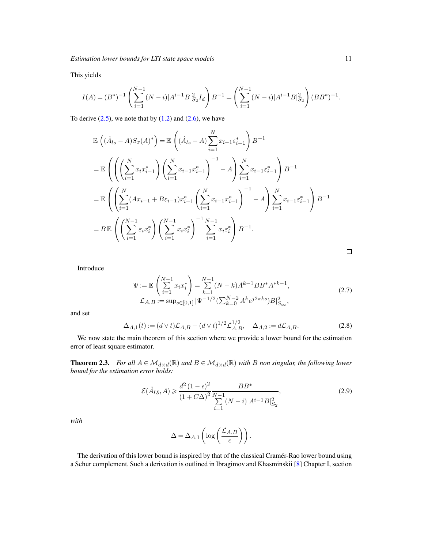This yields

$$
I(A)=(B^*)^{-1}\left(\sum_{i=1}^{N-1}(N-i)|A^{i-1}B|_{S_2}^2I_d\right)B^{-1}=\left(\sum_{i=1}^{N-1}(N-i)|A^{i-1}B|_{S_2}^2\right)(BB^*)^{-1}.
$$

To derive  $(2.5)$ , we note that by  $(1.2)$  and  $(2.6)$ , we have

$$
\mathbb{E}\left((\hat{A}_{ls}-A)S_{x}(A)^{*}\right) = \mathbb{E}\left((\hat{A}_{ls}-A)\sum_{i=1}^{N}x_{i-1}\varepsilon_{i-1}^{*}\right)B^{-1}
$$
\n
$$
= \mathbb{E}\left(\left(\left(\sum_{i=1}^{N}x_{i}x_{i-1}^{*}\right)\left(\sum_{i=1}^{N}x_{i-1}x_{i-1}^{*}\right)^{-1}-A\right)\sum_{i=1}^{N}x_{i-1}\varepsilon_{i-1}^{*}\right)B^{-1}
$$
\n
$$
= \mathbb{E}\left(\left(\sum_{i=1}^{N}(Ax_{i-1}+B\varepsilon_{i-1})x_{i-1}^{*}\left(\sum_{i=1}^{N}x_{i-1}x_{i-1}^{*}\right)^{-1}-A\right)\sum_{i=1}^{N}x_{i-1}\varepsilon_{i-1}^{*}\right)B^{-1}
$$
\n
$$
= B\mathbb{E}\left(\left(\sum_{i=1}^{N-1}\varepsilon_{i}x_{i}^{*}\right)\left(\sum_{i=1}^{N-1}x_{i}x_{i}^{*}\right)^{-1}\sum_{i=1}^{N-1}x_{i}\varepsilon_{i}^{*}\right)B^{-1}.
$$

<span id="page-10-1"></span>

Introduce

$$
\Psi := \mathbb{E}\left(\sum_{i=1}^{N-1} x_i x_i^*\right) = \sum_{k=1}^{N-1} (N-k) A^{k-1} B B^* A^{*k-1},
$$
\n
$$
\mathcal{L}_{A,B} := \sup_{s \in [0,1]} |\Psi^{-1/2}(\sum_{k=0}^{N-2} A^k e^{j2\pi ks}) B|_{S_{\infty}}^2,
$$
\n(2.7)

and set

$$
\Delta_{A,1}(t) := (d \vee t)\mathcal{L}_{A,B} + (d \vee t)^{1/2}\mathcal{L}_{A,B}^{1/2}, \quad \Delta_{A,2} := d\mathcal{L}_{A,B}.
$$
\n(2.8)

We now state the main theorem of this section where we provide a lower bound for the estimation error of least square estimator.

<span id="page-10-0"></span>**Theorem 2.3.** *For all*  $A \in \mathcal{M}_{d \times d}(\mathbb{R})$  *and*  $B \in \mathcal{M}_{d \times d}(\mathbb{R})$  *with B non singular, the following lower bound for the estimation error holds:*

$$
\mathcal{E}(\hat{A}_{LS}, A) \ge \frac{d^2 (1 - \epsilon)^2}{(1 + C\Delta)^2} \frac{BB^*}{\sum_{i=1}^{N-1} (N - i)|A^{i-1}B|_{S_2}^2},
$$
\n(2.9)

*with*

$$
\Delta = \Delta_{A,1} \left( \log \left( \frac{\mathcal{L}_{A,B}}{\epsilon} \right) \right).
$$

The derivation of this lower bound is inspired by that of the classical Cramér-Rao lower bound using a Schur complement. Such a derivation is outlined in Ibragimov and Khasminskii [\[8\]](#page-39-6) Chapter I, section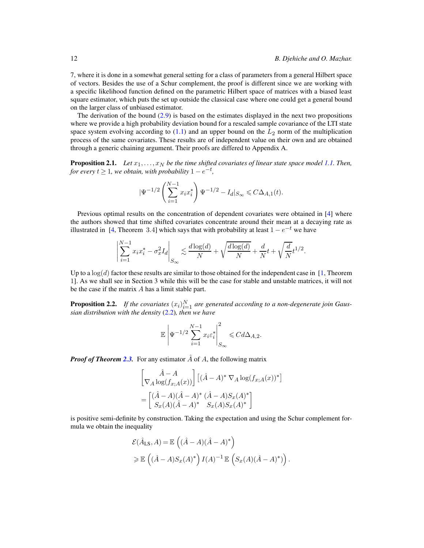7, where it is done in a somewhat general setting for a class of parameters from a general Hilbert space of vectors. Besides the use of a Schur complement, the proof is different since we are working with a specific likelihood function defined on the parametric Hilbert space of matrices with a biased least square estimator, which puts the set up outside the classical case where one could get a general bound on the larger class of unbiased estimator.

The derivation of the bound [\(2.9\)](#page-10-1) is based on the estimates displayed in the next two propositions where we provide a high probability deviation bound for a rescaled sample covariance of the LTI state space system evolving according to  $(1.1)$  and an upper bound on the  $L_2$  norm of the multiplication process of the same covariates. These results are of independent value on their own and are obtained through a generic chaining argument. Their proofs are differed to Appendix A.

<span id="page-11-0"></span>**Proposition 2.1.** *Let*  $x_1, \ldots, x_N$  *be the time shifted covariates of linear state space model [1.1.](#page-0-0) Then, for every*  $t \geq 1$ *, we obtain, with probability*  $1 - e^{-t}$ *,* 

$$
|\Psi^{-1/2}\left(\sum_{i=1}^{N-1}x_ix_i^*\right)\Psi^{-1/2}-I_d|_{S_\infty}\leqslant C\Delta_{A,1}(t).
$$

Previous optimal results on the concentration of dependent covariates were obtained in [4] where the authors showed that time shifted covariates concentrate around their mean at a decaying rate as illustrated in [4, Theorem 3.4] which says that with probability at least  $1 - e^{-t}$  we have

$$
\left| \sum_{i=1}^{N-1} x_i x_i^* - \sigma_x^2 I_d \right|_{S_{\infty}} \lesssim \frac{d \log(d)}{N} + \sqrt{\frac{d \log(d)}{N}} + \frac{d}{N} t + \sqrt{\frac{d}{N}} t^{1/2}.
$$

Up to a  $log(d)$  factor these results are similar to those obtained for the independent case in [\[1,](#page-39-7) Theorem 1]. As we shall see in Section 3 while this will be the case for stable and unstable matrices, it will not be the case if the matrix A has a limit stable part.

<span id="page-11-1"></span>**Proposition 2.2.** If the covariates  $(x_i)_{i=1}^N$  are generated according to a non-degenerate join Gaus*sian distribution with the density* [\(2.2\)](#page-8-0)*, then we have*

$$
\mathbb{E}\left|\Psi^{-1/2}\sum_{i=1}^{N-1}x_i\varepsilon_i^*\right|^2_{S_{\infty}}\leqslant C d\Delta_{A,2}.
$$

*Proof of Theorem [2.3.](#page-10-0)* For any estimator  $\hat{A}$  of A, the following matrix

$$
\begin{bmatrix}\n\hat{A} - A \\
\nabla_A \log(f_{x;A}(x))\n\end{bmatrix} \left[ (\hat{A} - A)^* \nabla_A \log(f_{x;A}(x))^* \right]
$$
\n
$$
= \begin{bmatrix}\n(\hat{A} - A)(\hat{A} - A)^* (\hat{A} - A)S_x(A)^* \\
S_x(A)(\hat{A} - A)^* S_x(A)S_x(A)^*\n\end{bmatrix}
$$

is positive semi-definite by construction. Taking the expectation and using the Schur complement formula we obtain the inequality

$$
\mathcal{E}(\hat{A}_{LS}, A) = \mathbb{E}\left((\hat{A} - A)(\hat{A} - A)^{*}\right)
$$
  
\n
$$
\geq \mathbb{E}\left((\hat{A} - A)S_{x}(A)^{*}\right)I(A)^{-1}\mathbb{E}\left(S_{x}(A)(\hat{A} - A)^{*})\right).
$$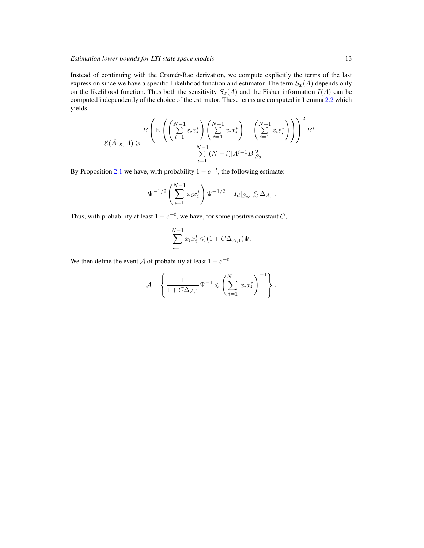Instead of continuing with the Cramér-Rao derivation, we compute explicitly the terms of the last expression since we have a specific Likelihood function and estimator. The term  $S_x(A)$  depends only on the likelihood function. Thus both the sensitivity  $S_x(A)$  and the Fisher information  $I(A)$  can be computed independently of the choice of the estimator. These terms are computed in Lemma [2.2](#page-8-2) which yields

$$
\mathcal{E}(\hat{A}_{\mathrm{LS}},A) \geqslant \frac{B\left(\mathbb{E}\left(\left(\sum_{i=1}^{N-1}\varepsilon_{i}x_{i}^{*}\right)\left(\sum_{i=1}^{N-1}x_{i}x_{i}^{*}\right)^{-1}\left(\sum_{i=1}^{N-1}x_{i}\varepsilon_{i}^{*}\right)\right)\right)^{2}B^{*}}{\sum\limits_{i=1}^{N-1}(N-i)|A^{i-1}B|_{S_{2}}^{2}}
$$

By Proposition [2.1](#page-11-0) we have, with probability  $1 - e^{-t}$ , the following estimate:

$$
|\Psi^{-1/2}\left(\sum_{i=1}^{N-1} x_i x_i^*\right) \Psi^{-1/2} - I_d|_{S_\infty} \lesssim \Delta_{A,1}.
$$

Thus, with probability at least  $1 - e^{-t}$ , we have, for some positive constant C,

$$
\sum_{i=1}^{N-1} x_i x_i^* \leqslant (1 + C \Delta_{A,1}) \Psi.
$$

We then define the event A of probability at least  $1 - e^{-t}$ 

$$
\mathcal{A} = \left\{ \frac{1}{1 + C \Delta_{A,1}} \Psi^{-1} \leqslant \left( \sum_{i=1}^{N-1} x_i x_i^* \right)^{-1} \right\}.
$$

.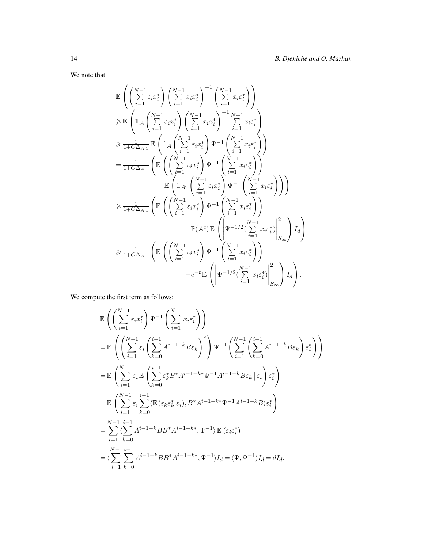We note that

$$
\mathbb{E}\left(\left(\sum_{i=1}^{N-1}\varepsilon_{i}x_{i}^{*}\right)\left(\sum_{i=1}^{N-1}x_{i}x_{i}^{*}\right)^{-1}\left(\sum_{i=1}^{N-1}x_{i}\varepsilon_{i}^{*}\right)\right)
$$
\n
$$
\geqslant \mathbb{E}\left(\mathbb{1}_{\mathcal{A}}\left(\sum_{i=1}^{N-1}\varepsilon_{i}x_{i}^{*}\right)\left(\sum_{i=1}^{N-1}x_{i}x_{i}^{*}\right)^{-1}\sum_{i=1}^{N-1}x_{i}\varepsilon_{i}^{*}\right)
$$
\n
$$
\geqslant \frac{1}{1+C\Delta_{A,1}}\mathbb{E}\left(\mathbb{1}_{\mathcal{A}}\left(\sum_{i=1}^{N-1}\varepsilon_{i}x_{i}^{*}\right)\Psi^{-1}\left(\sum_{i=1}^{N-1}x_{i}\varepsilon_{i}^{*}\right)\right)
$$
\n
$$
=\frac{1}{1+C\Delta_{A,1}}\left(\mathbb{E}\left(\left(\sum_{i=1}^{N-1}\varepsilon_{i}x_{i}^{*}\right)\Psi^{-1}\left(\sum_{i=1}^{N-1}x_{i}\varepsilon_{i}^{*}\right)\right)\right)
$$
\n
$$
-\mathbb{E}\left(\mathbb{1}_{\mathcal{A}^{c}}\left(\sum_{i=1}^{N-1}\varepsilon_{i}x_{i}^{*}\right)\Psi^{-1}\left(\sum_{i=1}^{N-1}x_{i}\varepsilon_{i}^{*}\right)\right)\right)
$$
\n
$$
\geqslant \frac{1}{1+C\Delta_{A,1}}\left(\mathbb{E}\left(\left(\sum_{i=1}^{N-1}\varepsilon_{i}x_{i}^{*}\right)\Psi^{-1}\left(\sum_{i=1}^{N-1}x_{i}\varepsilon_{i}^{*}\right)\right)
$$
\n
$$
-\mathbb{P}(\mathcal{A}^{c})\mathbb{E}\left(\left|\Psi^{-1/2}\left(\sum_{i=1}^{N-1}x_{i}\varepsilon_{i}^{*}\right)\right|\right)_{i=1}^{2}
$$
\n
$$
\geqslant \frac{1}{1+C\Delta_{A,1}}\left(\mathbb{E}\left(\left(\sum_{i=1}^{N-1}\varepsilon_{i}x_{i}^{*}\right)\Psi^{-1
$$

We compute the first term as follows:

$$
\mathbb{E}\left(\left(\sum_{i=1}^{N-1} \varepsilon_i x_i^*\right) \Psi^{-1}\left(\sum_{i=1}^{N-1} x_i \varepsilon_i^*\right)\right)
$$
\n
$$
= \mathbb{E}\left(\left(\sum_{i=1}^{N-1} \varepsilon_i \left(\sum_{k=0}^{i-1} A^{i-1-k} B \varepsilon_k\right)^*\right) \Psi^{-1}\left(\sum_{i=1}^{N-1} \left(\sum_{k=0}^{i-1} A^{i-1-k} B \varepsilon_k\right) \varepsilon_i^*\right)\right)
$$
\n
$$
= \mathbb{E}\left(\sum_{i=1}^{N-1} \varepsilon_i \mathbb{E}\left(\sum_{k=0}^{i-1} \varepsilon_k^* B^* A^{i-1-k*} \Psi^{-1} A^{i-1-k} B \varepsilon_k \mid \varepsilon_i\right) \varepsilon_i^*\right)
$$
\n
$$
= \mathbb{E}\left(\sum_{i=1}^{N-1} \varepsilon_i \sum_{k=0}^{i-1} \langle \mathbb{E}\left(\varepsilon_k \varepsilon_k^* | \varepsilon_i\right), B^* A^{i-1-k*} \Psi^{-1} A^{i-1-k} B \rangle \varepsilon_i^*\right)
$$
\n
$$
= \sum_{i=1}^{N-1} \sum_{k=0}^{i-1} A^{i-1-k} B B^* A^{i-1-k*}, \Psi^{-1} \rangle \mathbb{E}\left(\varepsilon_i \varepsilon_i^*\right)
$$
\n
$$
= \langle \sum_{i=1}^{N-1} \sum_{k=0}^{i-1} A^{i-1-k} B B^* A^{i-1-k*}, \Psi^{-1} \rangle I_d = \langle \Psi, \Psi^{-1} \rangle I_d = dI_d.
$$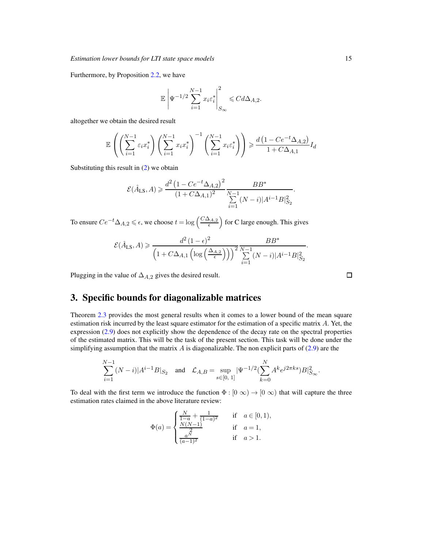Furthermore, by Proposition [2.2,](#page-11-1) we have

$$
\mathbb{E}\left|\Psi^{-1/2}\sum_{i=1}^{N-1}x_i\varepsilon_i^*\right|^2_{S_{\infty}}\leqslant C d\Delta_{A,2}.
$$

altogether we obtain the desired result

$$
\mathbb{E}\left(\left(\sum_{i=1}^{N-1} \varepsilon_i x_i^*\right) \left(\sum_{i=1}^{N-1} x_i x_i^*\right)^{-1} \left(\sum_{i=1}^{N-1} x_i \varepsilon_i^*\right)\right) \geq \frac{d\left(1 - Ce^{-t}\Delta_{A,2}\right)}{1 + C\Delta_{A,1}} I_d
$$

Substituting this result in [\(2\)](#page-11-1) we obtain

$$
\mathcal{E}(\hat{A}_{LS}, A) \ge \frac{d^2 (1 - C e^{-t} \Delta_{A,2})^2}{(1 + C \Delta_{A,1})^2} \frac{BB^*}{\sum_{i=1}^{N-1} (N-i)|A^{i-1}B|_{S_2}^2}
$$

To ensure  $Ce^{-t}\Delta_{A,2} \leqslant \epsilon,$  we choose  $t = \log\left(\frac{C\Delta_{A,2}}{\epsilon}\right)$  $\left(\frac{\Delta_{A,2}}{\epsilon}\right)$  for C large enough. This gives

$$
\mathcal{E}(\hat{A}_{LS}, A) \geq \frac{d^2 (1 - \epsilon)^2}{\left(1 + C\Delta_{A,1} \left(\log\left(\frac{\Delta_{A,2}}{\epsilon}\right)\right)\right)^2 \sum_{i=1}^{N-1} (N - i)|A^{i-1}B|_{S_2}^2}.
$$

Plugging in the value of  $\Delta_{A,2}$  gives the desired result.

# 3. Specific bounds for diagonalizable matrices

Theorem [2.3](#page-10-0) provides the most general results when it comes to a lower bound of the mean square estimation risk incurred by the least square estimator for the estimation of a specific matrix A. Yet, the expression [\(2.9\)](#page-10-1) does not explicitly show the dependence of the decay rate on the spectral properties of the estimated matrix. This will be the task of the present section. This task will be done under the simplifying assumption that the matrix  $\vec{A}$  is diagonalizable. The non explicit parts of [\(2.9\)](#page-10-1) are the

$$
\sum_{i=1}^{N-1} (N-i)|A^{i-1}B|_{S_2} \quad \text{and} \quad \mathcal{L}_{A,B} = \sup_{s \in [0, \ 1]} |\Psi^{-1/2}(\sum_{k=0}^{N} A^k e^{j2\pi ks})B|_{S_{\infty}}^2.
$$

To deal with the first term we introduce the function  $\Phi : [0, \infty) \to [0, \infty)$  that will capture the three estimation rates claimed in the above literature review:

$$
\Phi(a) = \begin{cases} \frac{N}{1-a} + \frac{1}{(1-a)^2} & \text{if } a \in [0,1), \\ \frac{N(N-1)}{2} & \text{if } a = 1, \\ \frac{a^N}{(a-1)^2} & \text{if } a > 1. \end{cases}
$$

 $\Box$ 

.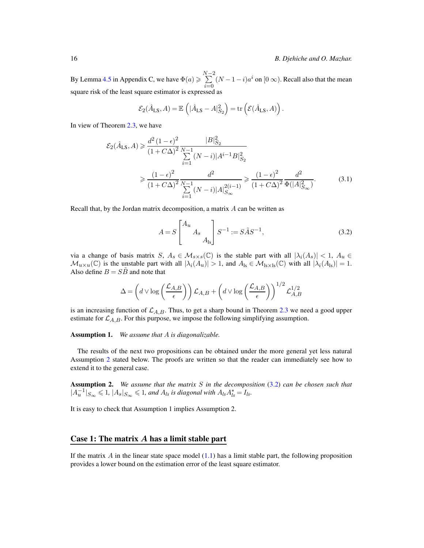By Lemma [4.5](#page-38-0) in Appendix C, we have  $\Phi(a) \geqslant \sum^{N-2}$  $\sum_{i=0}^{n} (N-1-i)a^i$  on  $[0 \infty)$ . Recall also that the mean square risk of the least square estimator is expressed as

$$
\mathcal{E}_2(\hat{A}_{LS}, A) = \mathbb{E}\left(|\hat{A}_{LS} - A|_{S_2}^2\right) = \text{tr}\left(\mathcal{E}(\hat{A}_{LS}, A)\right).
$$

In view of Theorem [2.3,](#page-10-0) we have

$$
\mathcal{E}_{2}(\hat{A}_{LS}, A) \geq \frac{d^{2} (1 - \epsilon)^{2}}{(1 + C\Delta)^{2}} \frac{|B|_{S_{2}}^{2}}{\sum_{i=1}^{N-1} (N - i)|A^{i-1}B|_{S_{2}}^{2}}
$$
\n
$$
\geq \frac{(1 - \epsilon)^{2}}{(1 + C\Delta)^{2}} \frac{d^{2}}{\sum_{i=1}^{N-1} (N - i)|A|_{S_{\infty}}^{2(i-1)}} \geq \frac{(1 - \epsilon)^{2}}{(1 + C\Delta)^{2}} \frac{d^{2}}{\Phi(|A|_{S_{\infty}}^{2})}. \tag{3.1}
$$

Recall that, by the Jordan matrix decomposition, a matrix A can be written as

<span id="page-15-2"></span><span id="page-15-0"></span>
$$
A = S \begin{bmatrix} A_u & & \\ & A_s & \\ & & A_{ls} \end{bmatrix} S^{-1} := S \tilde{A} S^{-1}, \tag{3.2}
$$

via a change of basis matrix S,  $A_s \in \mathcal{M}_{s \times s}(\mathbb{C})$  is the stable part with all  $|\lambda_i(A_s)| < 1$ ,  $A_u \in$  $\mathcal{M}_{u\times u}(\mathbb{C})$  is the unstable part with all  $|\lambda_i(A_u)| > 1$ , and  $A_{ls} \in \mathcal{M}_{ls\times ls}(\mathbb{C})$  with all  $|\lambda_i(A_{ls})| = 1$ . Also define  $B = S\tilde{B}$  and note that

$$
\Delta = \left(d \vee \log\left(\frac{\mathcal{L}_{A,B}}{\epsilon}\right)\right) \mathcal{L}_{A,B} + \left(d \vee \log\left(\frac{\mathcal{L}_{A,B}}{\epsilon}\right)\right)^{1/2} \mathcal{L}_{A,B}^{1/2}
$$

is an increasing function of  $\mathcal{L}_{A,B}$ . Thus, to get a sharp bound in Theorem [2.3](#page-10-0) we need a good upper estimate for  $\mathcal{L}_{A,B}$ . For this purpose, we impose the following simplifying assumption.

<span id="page-15-3"></span>Assumption 1. *We assume that* A *is diagonalizable.*

The results of the next two propositions can be obtained under the more general yet less natural Assumption [2](#page-15-1) stated below. The proofs are written so that the reader can immediately see how to extend it to the general case.

<span id="page-15-1"></span>Assumption 2. *We assume that the matrix* S *in the decomposition* [\(3.2\)](#page-15-2) *can be chosen such that*  $|A_u^{-1}|_{S_{\infty}} \leq 1$ ,  $|A_s|_{S_{\infty}} \leq 1$ , and  $A_{ls}$  is diagonal with  $A_{ls}A_{ls}^* = I_{ls}$ .

It is easy to check that Assumption 1 implies Assumption 2.

#### Case 1: The matrix A has a limit stable part

If the matrix A in the linear state space model  $(1.1)$  has a limit stable part, the following proposition provides a lower bound on the estimation error of the least square estimator.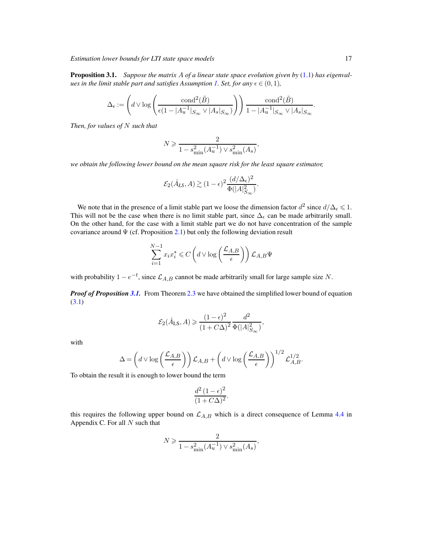*Estimation lower bounds for LTI state space models* 17

<span id="page-16-0"></span>Proposition 3.1. *Suppose the matrix* A *of a linear state space evolution given by* [\(1.1\)](#page-0-0) *has eigenval-ues in the limit stable part and satisfies Assumption [1.](#page-15-3) Set, for any*  $\epsilon \in (0,1)$ *,* 

$$
\Delta_{\epsilon} := \left( d \vee \log \left( \frac{\text{cond}^2(\tilde{B})}{\epsilon (1 - |A_u^{-1}|_{S_{\infty}} \vee |A_s|_{S_{\infty}})} \right) \right) \frac{\text{cond}^2(\tilde{B})}{1 - |A_u^{-1}|_{S_{\infty}} \vee |A_s|_{S_{\infty}}}.
$$

*Then, for values of* N *such that*

$$
N \geqslant \frac{2}{1 - s_{\min}^2(A_u^{-1}) \vee s_{\min}^2(A_s)},
$$

*we obtain the following lower bound on the mean square risk for the least square estimator,*

$$
\mathcal{E}_2(\hat{A}_{LS}, A) \gtrsim (1 - \epsilon)^2 \frac{(d/\Delta_{\epsilon})^2}{\Phi(|A|_{S_{\infty}}^2)}.
$$

We note that in the presence of a limit stable part we loose the dimension factor  $d^2$  since  $d/\Delta_{\epsilon} \leqslant 1$ . This will not be the case when there is no limit stable part, since  $\Delta_{\epsilon}$  can be made arbitrarily small. On the other hand, for the case with a limit stable part we do not have concentration of the sample covariance around  $\Psi$  (cf. Proposition [2.1\)](#page-11-0) but only the following deviation result

$$
\sum_{i=1}^{N-1} x_i x_i^* \leqslant C \left( d \vee \log \left( \frac{\mathcal{L}_{A,B}}{\epsilon} \right) \right) \mathcal{L}_{A,B} \Psi
$$

with probability  $1 - e^{-t}$ , since  $\mathcal{L}_{A,B}$  cannot be made arbitrarily small for large sample size N.

*Proof of Proposition* [3.1.](#page-16-0) From Theorem [2.3](#page-10-0) we have obtained the simplified lower bound of equation [\(3.1\)](#page-15-0)

$$
\mathcal{E}_2(\hat{A}_{\mathrm{LS}}, A) \geqslant \frac{(1-\epsilon)^2}{(1+C\Delta)^2} \frac{d^2}{\Phi(|A|^2_{S_{\infty}})},
$$

with

$$
\Delta = \left(d \vee \log\left(\frac{\mathcal{L}_{A,B}}{\epsilon}\right)\right) \mathcal{L}_{A,B} + \left(d \vee \log\left(\frac{\mathcal{L}_{A,B}}{\epsilon}\right)\right)^{1/2} \mathcal{L}_{A,B}^{1/2}.
$$

To obtain the result it is enough to lower bound the term

$$
\frac{d^2\left(1-\epsilon\right)^2}{(1+C\Delta)^2}.
$$

this requires the following upper bound on  $\mathcal{L}_{A,B}$  which is a direct consequence of Lemma [4.4](#page-36-0) in Appendix C. For all  $N$  such that

$$
N \geqslant \frac{2}{1 - s_{\min}^2(A_u^{-1}) \vee s_{\min}^2(A_s)},
$$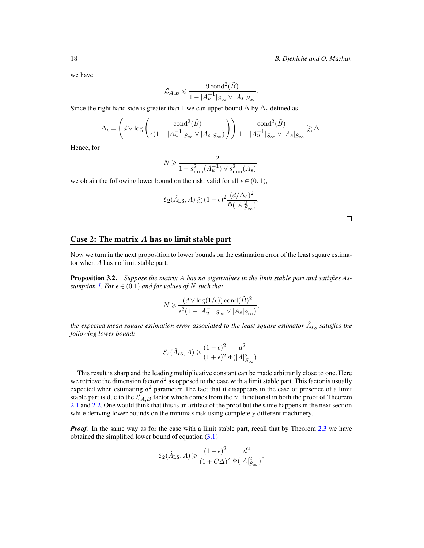we have

$$
\mathcal{L}_{A,B} \leqslant \frac{9 \operatorname{cond}^2(\tilde{B})}{1 - |A_u^{-1}|_{S_{\infty}} \vee |A_s|_{S_{\infty}}}.
$$

Since the right hand side is greater than 1 we can upper bound  $\Delta$  by  $\Delta_{\epsilon}$  defined as

$$
\Delta_{\epsilon} = \left(d \vee \log \left(\frac{\text{cond}^2(\tilde{B})}{\epsilon (1 - |A_u^{-1}|_{S_{\infty}} \vee |A_s|_{S_{\infty}})}\right)\right) \frac{\text{cond}^2(\tilde{B})}{1 - |A_u^{-1}|_{S_{\infty}} \vee |A_s|_{S_{\infty}}} \gtrsim \Delta.
$$

Hence, for

$$
N \geq \frac{2}{1 - s_{\min}^2(A_u^{-1}) \vee s_{\min}^2(A_s)},
$$

we obtain the following lower bound on the risk, valid for all  $\epsilon \in (0, 1)$ ,

$$
\mathcal{E}_2(\hat{A}_{\mathrm{LS}}, A) \gtrsim (1-\epsilon)^2 \frac{(d/\Delta_\epsilon)^2}{\Phi(|A|^2_{S_\infty})}.
$$

 $\Box$ 

### Case 2: The matrix A has no limit stable part

Now we turn in the next proposition to lower bounds on the estimation error of the least square estimator when A has no limit stable part.

<span id="page-17-0"></span>Proposition 3.2. *Suppose the matrix* A *has no eigenvalues in the limit stable part and satisfies Assumption* [1.](#page-15-3) For  $\epsilon \in (0, 1)$  *and for values of* N *such that* 

$$
N \geqslant \frac{(d \vee \log(1/\epsilon)) \operatorname{cond}(\tilde{B})^2}{\epsilon^2 (1 - |A_u^{-1}|_{S_{\infty}} \vee |A_s|_{S_{\infty}})},
$$

the expected mean square estimation error associated to the least square estimator  $\hat{A}_{LS}$  satisfies the *following lower bound:*

$$
\mathcal{E}_2(\hat{A}_{LS},A) \geqslant \frac{(1-\epsilon)^2}{(1+\epsilon)^2}\frac{d^2}{\Phi(|A|^2_{S_{\infty}})}.
$$

This result is sharp and the leading multiplicative constant can be made arbitrarily close to one. Here we retrieve the dimension factor  $d^2$  as opposed to the case with a limit stable part. This factor is usually expected when estimating  $d^2$  parameter. The fact that it disappears in the case of presence of a limit stable part is due to the  $\mathcal{L}_{A,B}$  factor which comes from the  $\gamma_1$  functional in both the proof of Theorem [2.1](#page-11-0) and [2.2.](#page-11-1) One would think that this is an artifact of the proof but the same happens in the next section while deriving lower bounds on the minimax risk using completely different machinery.

*Proof.* In the same way as for the case with a limit stable part, recall that by Theorem [2.3](#page-10-0) we have obtained the simplified lower bound of equation  $(3.1)$ 

$$
\mathcal{E}_2(\hat{A}_{\mathrm{LS}}, A) \geqslant \frac{\left(1 - \epsilon\right)^2}{\left(1 + C\Delta\right)^2} \frac{d^2}{\Phi(|A|_{S_{\infty}}^2)},
$$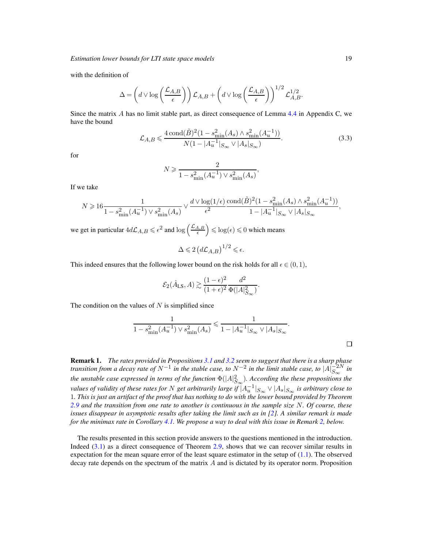with the definition of

$$
\Delta = \left(d \vee \log\left(\frac{\mathcal{L}_{A,B}}{\epsilon}\right)\right) \mathcal{L}_{A,B} + \left(d \vee \log\left(\frac{\mathcal{L}_{A,B}}{\epsilon}\right)\right)^{1/2} \mathcal{L}_{A,B}^{1/2}.
$$

Since the matrix A has no limit stable part, as direct consequence of Lemma [4.4](#page-36-0) in Appendix C, we have the bound

$$
\mathcal{L}_{A,B} \leq \frac{4 \operatorname{cond}(\tilde{B})^2 (1 - s_{\min}^2(A_s) \wedge s_{\min}^2(A_u^{-1}))}{N(1 - |A_u^{-1}|_{S_\infty} \vee |A_s|_{S_\infty})}.
$$
\n(3.3)

for

$$
N \geqslant \frac{2}{1 - s_{\min}^2(A_u^{-1}) \vee s_{\min}^2(A_s)},
$$

If we take

$$
N \geqslant 16 \frac{1}{1 - s_{\min}^2(A_u^{-1}) \vee s_{\min}^2(A_s)} \vee \frac{d \vee \log(1/\epsilon)}{\epsilon^2} \frac{\text{cond}(\tilde{B})^2 (1 - s_{\min}^2(A_s) \wedge s_{\min}^2(A_u^{-1}))}{1 - |A_u^{-1}|_{S_{\infty}} \vee |A_s|_{S_{\infty}}},
$$

we get in particular  $4d\mathcal{L}_{A,B} \leqslant \epsilon^2$  and  $\log\left(\frac{\mathcal{L}_{A,B}}{\epsilon}\right)$  $\left(\frac{A,B}{\epsilon}\right) \leq \log(\epsilon) \leq 0$  which means

$$
\Delta \leqslant 2 \left( d \mathcal{L}_{A,B} \right)^{1/2} \leqslant \epsilon.
$$

This indeed ensures that the following lower bound on the risk holds for all  $\epsilon \in (0,1)$ ,

$$
\mathcal{E}_2(\hat{A}_{\text{LS}}, A) \gtrsim \frac{(1 - \epsilon)^2}{(1 + \epsilon)^2} \frac{d^2}{\Phi(|A|_{S_{\infty}}^2)}.
$$

The condition on the values of  $N$  is simplified since

$$
\frac{1}{1 - s_{\min}^2(A_u^{-1}) \vee s_{\min}^2(A_s)} \leq \frac{1}{1 - |A_u^{-1}|_{S_{\infty}} \vee |A_s|_{S_{\infty}}}.
$$

| <b>Remark 1.</b> The rates provided in Propositions 3.1 and 3.2 seem to suggest that there is a sharp phase                              |
|------------------------------------------------------------------------------------------------------------------------------------------|
| transition from a decay rate of $N^{-1}$ in the stable case, to $N^{-2}$ in the limit stable case, to $ A _{S_{ss}}^{-2N}$ in            |
| the unstable case expressed in terms of the function $\Phi( A ^2_{S_{\infty}})$ . According the these propositions the                   |
| values of validity of these rates for N get arbitrarily large if $ A_u^{-1} _{S_{\infty}} \vee  A_s _{S_{\infty}}$ is arbitrary close to |
| 1. This is just an artifact of the proof that has nothing to do with the lower bound provided by Theorem                                 |
| 2.9 and the transition from one rate to another is continuous in the sample size $N$ . Of course, these                                  |
| issues disappear in asymptotic results after taking the limit such as in [2]. A similar remark is made                                   |
| for the minimax rate in Corollary 4.1. We propose a way to deal with this issue in Remark 2, below.                                      |

The results presented in this section provide answers to the questions mentioned in the introduction. Indeed [\(3.1\)](#page-15-0) as a direct consequence of Theorem [2.9,](#page-10-1) shows that we can recover similar results in expectation for the mean square error of the least square estimator in the setup of  $(1.1)$ . The observed decay rate depends on the spectrum of the matrix  $A$  and is dictated by its operator norm. Proposition

 $\Box$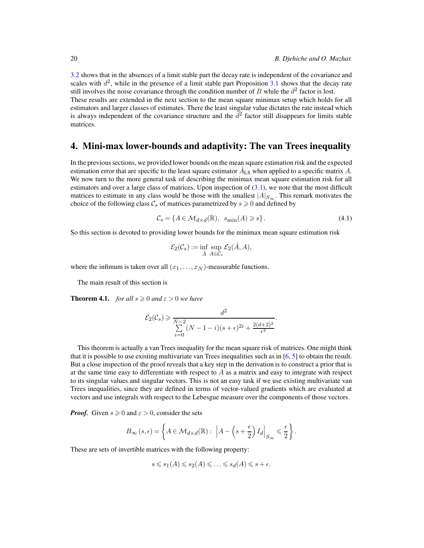[3.2](#page-17-0) shows that in the absences of a limit stable part the decay rate is independent of the covariance and scales with  $d^2$ , while in the presence of a limit stable part Proposition [3.1](#page-16-0) shows that the decay rate still involves the noise covariance through the condition number of B while the  $d^2$  factor is lost.

These results are extended in the next section to the mean square minimax setup which holds for all estimators and larger classes of estimates. There the least singular value dictates the rate instead which is always independent of the covariance structure and the  $d^2$  factor still disappears for limits stable matrices.

#### 4. Mini-max lower-bounds and adaptivity: The van Trees inequality

In the previous sections, we provided lower bounds on the mean square estimation risk and the expected estimation error that are specific to the least square estimator  $\hat{A}_{LS}$  when applied to a specific matrix A. We now turn to the more general task of describing the minimax mean square estimation risk for all estimators and over a large class of matrices. Upon inspection of  $(3.1)$ , we note that the most difficult matrices to estimate in any class would be those with the smallest  $|A|_{S_{\infty}}$ . This remark motivates the choice of the following class  $\mathcal{C}_s$  of matrices parametrized by  $s \geq 0$  and defined by

$$
\mathcal{C}_s = \{ A \in \mathcal{M}_{d \times d}(\mathbb{R}), \ s_{\min}(A) \geqslant s \}.
$$
 (4.1)

So this section is devoted to providing lower bounds for the minimax mean square estimation risk

$$
\mathcal{E}_2(\mathcal{C}_s) := \inf_{\hat{A}} \sup_{A \in \mathcal{C}_s} \mathcal{E}_2(\hat{A}, A),
$$

where the infimum is taken over all  $(x_1, \ldots, x_N)$ -measurable functions.

The main result of this section is

<span id="page-19-0"></span>**Theorem 4.1.** *for all*  $s \ge 0$  *and*  $\varepsilon > 0$  *we have* 

$$
\mathcal{E}_2(\mathcal{C}_s) \geq \frac{d^2}{\sum_{i=0}^{N-2} (N-1-i)(s+\epsilon)^{2i} + \frac{2(d+2)^2}{\epsilon^2}}.
$$

This theorem is actually a van Trees inequality for the mean square risk of matrices. One might think that it is possible to use existing multivariate van Trees inequalities such as in  $[6, 5]$  $[6, 5]$  to obtain the result. But a close inspection of the proof reveals that a key step in the derivation is to construct a prior that is at the same time easy to differentiate with respect to  $A$  as a matrix and easy to integrate with respect to its singular values and singular vectors. This is not an easy task if we use existing multivariate van Trees inequalities, since they are defined in terms of vector-valued gradients which are evaluated at vectors and use integrals with respect to the Lebesgue measure over the components of those vectors.

*Proof.* Given  $s \ge 0$  and  $\varepsilon > 0$ , consider the sets

$$
B_{\infty}(s,\epsilon) = \left\{ A \in \mathcal{M}_{d \times d}(\mathbb{R}) : \left| A - \left(s + \frac{\epsilon}{2}\right) I_d \right|_{S_{\infty}} \leq \frac{\epsilon}{2} \right\}.
$$

These are sets of invertible matrices with the following property:

$$
s \leqslant s_1(A) \leqslant s_2(A) \leqslant \ldots \leqslant s_d(A) \leqslant s + \epsilon.
$$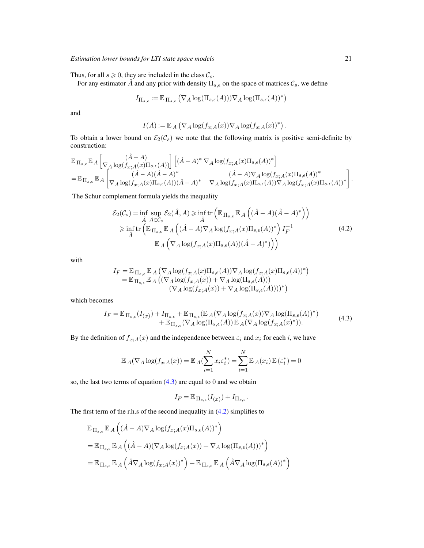Thus, for all  $s \ge 0$ , they are included in the class  $C_s$ .

For any estimator  $\hat{A}$  and any prior with density  $\Pi_{s,\epsilon}$  on the space of matrices  $\mathcal{C}_s$ , we define

$$
I_{\Pi_{s,\epsilon}} := \mathbb{E}_{\Pi_{s,\epsilon}} \left( \nabla_A \log(\Pi_{s,\epsilon}(A)) \right) \nabla_A \log(\Pi_{s,\epsilon}(A))^* \right)
$$

and

$$
I(A):=\mathbb{E}_{A}\left(\nabla_{A}\log(f_{x;A}(x))\nabla_{A}\log(f_{x;A}(x))^{*}\right)
$$

.

To obtain a lower bound on  $\mathcal{E}_2(\mathcal{C}_s)$  we note that the following matrix is positive semi-definite by construction:

$$
\begin{split} &\mathbb{E}_{\Pi_{s,\epsilon}}\mathbb{E}_{A}\left[\underset{\nabla_{A}\log\left(f_{x;A}(x)\Pi_{s,\epsilon}(A)\right)}{\nabla_{A}\log\left(f_{x;A}(x)\Pi_{s,\epsilon}(A)\right)}\right]\left[(\hat{A}-A)^{*}\ \nabla_{A}\log\left(f_{x;A}(x)\Pi_{s,\epsilon}(A)\right)^{*}\right]\\ &=\mathbb{E}_{\Pi_{s,\epsilon}}\mathbb{E}_{A}\left[\underset{\nabla_{A}\log\left(f_{x;A}(x)\Pi_{s,\epsilon}(A)\right)(\hat{A}-A)^{*}}{\nabla_{A}\log\left(f_{x;A}(x)\Pi_{s,\epsilon}(A)\right)}\nabla_{A}\log\left(f_{x;A}(x)\Pi_{s,\epsilon}(A)\right)^{*}\right]. \end{split}
$$

The Schur complement formula yields the inequality

<span id="page-20-1"></span>
$$
\mathcal{E}_2(\mathcal{C}_s) = \inf_{\hat{A}} \sup_{A \in \mathcal{C}_s} \mathcal{E}_2(\hat{A}, A) \ge \inf_{\hat{A}} \text{tr}\left(\mathbb{E}_{\Pi_{s,\epsilon}} \mathbb{E}_A \left((\hat{A} - A)(\hat{A} - A)^*\right)\right)
$$
  
\n
$$
\ge \inf_{\hat{A}} \text{tr}\left(\mathbb{E}_{\Pi_{s,\epsilon}} \mathbb{E}_A \left((\hat{A} - A)\nabla_A \log(f_{x;A}(x)\Pi_{s,\epsilon}(A))^*\right) I_F^{-1}
$$
  
\n
$$
\mathbb{E}_A \left(\nabla_A \log(f_{x;A}(x)\Pi_{s,\epsilon}(A))(\hat{A} - A)^*\right)\right)
$$
\n(4.2)

with

$$
I_F = \mathbb{E}_{\Pi_{s,\epsilon}} \mathbb{E}_A \left( \nabla_A \log(f_{x;A}(x)\Pi_{s,\epsilon}(A)) \nabla_A \log(f_{x;A}(x)\Pi_{s,\epsilon}(A))^* \right)
$$
  
=  $\mathbb{E}_{\Pi_{s,\epsilon}} \mathbb{E}_A \left( (\nabla_A \log(f_{x;A}(x)) + \nabla_A \log(\Pi_{s,\epsilon}(A))) (\nabla_A \log(f_{x;A}(x)) + \nabla_A \log(\Pi_{s,\epsilon}(A))))^* \right)$ 

which becomes

<span id="page-20-0"></span>
$$
I_F = \mathbb{E}_{\Pi_{s,\epsilon}}(I_{(x)}) + I_{\Pi_{s,\epsilon}} + \mathbb{E}_{\Pi_{s,\epsilon}}(\mathbb{E}_A(\nabla_A \log(f_{x;A}(x))\nabla_A \log(\Pi_{s,\epsilon}(A))^*)+ \mathbb{E}_{\Pi_{s,\epsilon}}(\nabla_A \log(\Pi_{s,\epsilon}(A))\mathbb{E}_A(\nabla_A \log(f_{x;A}(x)^*)).
$$
\n(4.3)

By the definition of  $f_{x;A}(x)$  and the independence between  $\varepsilon_i$  and  $x_i$  for each i, we have

$$
\mathbb{E}_{A}(\nabla_{A} \log(f_{x;A}(x)) = \mathbb{E}_{A}(\sum_{i=1}^{N} x_{i}\varepsilon_{i}^{*}) = \sum_{i=1}^{N} \mathbb{E}_{A}(x_{i})\,\mathbb{E}\left(\varepsilon_{i}^{*}\right) = 0
$$

so, the last two terms of equation  $(4.3)$  are equal to 0 and we obtain

$$
I_F = \mathbb{E}_{\Pi_{s,\epsilon}}(I_{(x)}) + I_{\Pi_{s,\epsilon}}.
$$

The first term of the r.h.s of the second inequality in [\(4.2\)](#page-20-1) simplifies to

$$
\mathbb{E}_{\Pi_{s,\epsilon}} \mathbb{E}_A \left( (\hat{A} - A)\nabla_A \log(f_{x;A}(x)\Pi_{s,\epsilon}(A))^* \right)
$$
  
= 
$$
\mathbb{E}_{\Pi_{s,\epsilon}} \mathbb{E}_A \left( (\hat{A} - A)(\nabla_A \log(f_{x;A}(x)) + \nabla_A \log(\Pi_{s,\epsilon}(A)))^* \right)
$$
  
= 
$$
\mathbb{E}_{\Pi_{s,\epsilon}} \mathbb{E}_A \left( \hat{A}\nabla_A \log(f_{x;A}(x))^* \right) + \mathbb{E}_{\Pi_{s,\epsilon}} \mathbb{E}_A \left( \hat{A}\nabla_A \log(\Pi_{s,\epsilon}(A))^* \right)
$$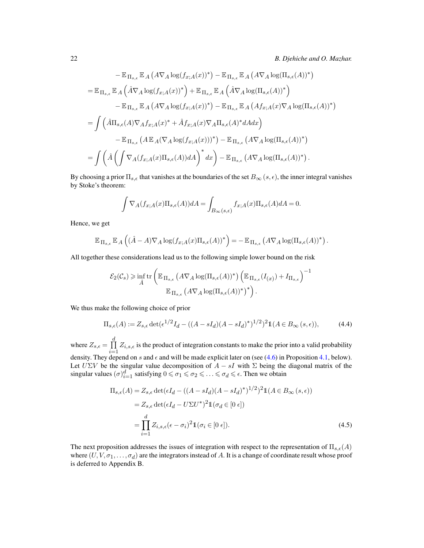$$
-\mathbb{E}_{\Pi_{s,\epsilon}}\mathbb{E}_{A}\left(A\nabla_{A}\log(f_{x;A}(x))^{*}\right)-\mathbb{E}_{\Pi_{s,\epsilon}}\mathbb{E}_{A}\left(A\nabla_{A}\log(\Pi_{s,\epsilon}(A))^{*}\right)
$$
  
\n
$$
=\mathbb{E}_{\Pi_{s,\epsilon}}\mathbb{E}_{A}\left(\hat{A}\nabla_{A}\log(f_{x;A}(x))^{*}\right)+\mathbb{E}_{\Pi_{s,\epsilon}}\mathbb{E}_{A}\left(\hat{A}\nabla_{A}\log(\Pi_{s,\epsilon}(A))^{*}\right)
$$
  
\n
$$
-\mathbb{E}_{\Pi_{s,\epsilon}}\mathbb{E}_{A}\left(A\nabla_{A}\log(f_{x;A}(x))^{*}\right)-\mathbb{E}_{\Pi_{s,\epsilon}}\mathbb{E}_{A}\left(Af_{x;A}(x)\nabla_{A}\log(\Pi_{s,\epsilon}(A))^{*}\right)
$$
  
\n
$$
=\int \left(\hat{A}\Pi_{s,\epsilon}(A)\nabla_{A}f_{x;A}(x)^{*}+\hat{A}f_{x;A}(x)\nabla_{A}\Pi_{s,\epsilon}(A)^{*}dA dx\right)
$$
  
\n
$$
-\mathbb{E}_{\Pi_{s,\epsilon}}\left(A\mathbb{E}_{A}(\nabla_{A}\log(f_{x;A}(x)))^{*}\right)-\mathbb{E}_{\Pi_{s,\epsilon}}\left(A\nabla_{A}\log(\Pi_{s,\epsilon}(A))^{*}\right)
$$
  
\n
$$
=\int \left(\hat{A}\left(\int \nabla_{A}(f_{x;A}(x)\Pi_{s,\epsilon}(A))dA\right)^{*}dx\right)-\mathbb{E}_{\Pi_{s,\epsilon}}\left(A\nabla_{A}\log(\Pi_{s,\epsilon}(A))^{*}\right).
$$

By choosing a prior  $\Pi_{s,\epsilon}$  that vanishes at the boundaries of the set  $B_\infty(s,\epsilon)$ , the inner integral vanishes by Stoke's theorem:

$$
\int \nabla_A (f_{x;A}(x)\Pi_{s,\epsilon}(A))dA = \int_{B_{\infty}(s,\epsilon)} f_{x;A}(x)\Pi_{s,\epsilon}(A)dA = 0.
$$

Hence, we get

$$
\mathbb{E}_{\Pi_{s,\epsilon}} \mathbb{E}_A \left( (\hat{A} - A) \nabla_A \log(f_{x;A}(x) \Pi_{s,\epsilon}(A))^* \right) = - \mathbb{E}_{\Pi_{s,\epsilon}} \left( A \nabla_A \log(\Pi_{s,\epsilon}(A))^* \right).
$$

All together these considerations lead us to the following simple lower bound on the risk

$$
\mathcal{E}_2(\mathcal{C}_s) \geq \inf_{\hat{A}} \text{tr}\left(\mathbb{E}_{\prod_{s,\epsilon}}\left(A\nabla_A \log(\Pi_{s,\epsilon}(A))^*\right)\left(\mathbb{E}_{\Pi_{s,\epsilon}}(I_{(x)}) + I_{\Pi_{s,\epsilon}}\right)^{-1}\right)
$$

$$
\mathbb{E}_{\Pi_{s,\epsilon}}\left(A\nabla_A \log(\Pi_{s,\epsilon}(A))^*\right)^*\right).
$$

We thus make the following choice of prior

<span id="page-21-0"></span>
$$
\Pi_{s,\epsilon}(A) := Z_{s,\epsilon} \det(\epsilon^{1/2} I_d - ((A - sI_d)(A - sI_d)^*)^{1/2})^2 1(A \in B_\infty(s,\epsilon)),\tag{4.4}
$$

where  $Z_{s,\epsilon} = \prod^d$  $\prod_{i=1} Z_{i,s,\epsilon}$  is the product of integration constants to make the prior into a valid probability density. They depend on s and  $\epsilon$  and will be made explicit later on (see [\(4.6\)](#page-22-1) in Proposition [4.1,](#page-22-0) below).

Let  $U\Sigma V$  be the singular value decomposition of  $A - sI$  with  $\Sigma$  being the diagonal matrix of the singular values  $(\sigma)_{i=1}^d$  satisfying  $0 \le \sigma_1 \le \sigma_2 \le \ldots \le \sigma_d \le \epsilon$ . Then we obtain

<span id="page-21-1"></span>
$$
\Pi_{s,\epsilon}(A) = Z_{s,\epsilon} \det(\epsilon I_d - ((A - sI_d)(A - sI_d)^*)^{1/2})^2 \mathbb{1}(A \in B_{\infty}(s,\epsilon))
$$
  
\n
$$
= Z_{s,\epsilon} \det(\epsilon I_d - U\Sigma U^*)^2 \mathbb{1}(\sigma_d \in [0 \epsilon])
$$
  
\n
$$
= \prod_{i=1}^d Z_{i,s,\epsilon}(\epsilon - \sigma_i)^2 \mathbb{1}(\sigma_i \in [0 \epsilon]).
$$
\n(4.5)

The next proposition addresses the issues of integration with respect to the representation of  $\Pi_{s,\epsilon}(A)$ where  $(U, V, \sigma_1, \ldots, \sigma_d)$  are the integrators instead of A. It is a change of coordinate result whose proof is deferred to Appendix B.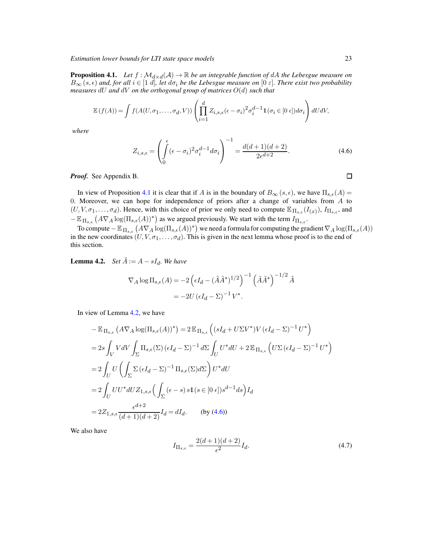<span id="page-22-0"></span>**Proposition 4.1.** *Let*  $f : \mathcal{M}_{d \times d}(\mathcal{A}) \to \mathbb{R}$  *be an integrable function of dA the Lebesgue measure on*  $B_{\infty}(s,\epsilon)$  and, for all  $i \in [1 \ d]$ , let  $d\sigma_i$  be the Lebesgue measure on  $[0 \ \varepsilon]$ . There exist two probability *measures* dU *and* dV *on the orthogonal group of matrices* O(d) *such that*

$$
\mathbb{E}(f(A)) = \int f(A(U, \sigma_1, \dots, \sigma_d, V)) \left( \prod_{i=1}^d Z_{i,s,\epsilon} (\epsilon - \sigma_i)^2 \sigma_i^{d-1} \mathbb{1}(\sigma_i \in [0 \epsilon]) d\sigma_i \right) dU dV,
$$

*where*

<span id="page-22-1"></span>
$$
Z_{i,s,\epsilon} = \left(\int_0^{\epsilon} (\epsilon - \sigma_i)^2 \sigma_i^{d-1} d\sigma_i\right)^{-1} = \frac{d(d+1)(d+2)}{2\epsilon^{d+2}}.
$$
 (4.6)

*Proof.* See Appendix B.

In view of Proposition [4.1](#page-22-0) it is clear that if A is in the boundary of  $B_{\infty}(s, \epsilon)$ , we have  $\Pi_{s,\epsilon}(A)$  = 0. Moreover, we can hope for independence of priors after a change of variables from A to  $(U, V, \sigma_1, \ldots, \sigma_d)$ . Hence, with this choice of prior we only need to compute  $\mathbb{E}_{\Pi_{s,\epsilon}}(I_{(x)}), I_{\Pi_{s,\epsilon}}$ , and  $-\mathbb{E}_{\Pi_{s,\epsilon}}(A\nabla_A \log(\Pi_{s,\epsilon}(A))^*)$  as we argued previously. We start with the term  $I_{\Pi_{s,\epsilon}}$ .

To compute  $-\mathbb{E}_{\Pi_{s,\epsilon}}\left(A\nabla_A\log(\Pi_{s,\epsilon}(A))^*\right)$  we need a formula for computing the gradient  $\nabla_A\log(\Pi_{s,\epsilon}(A))$ in the new coordinates  $(U, V, \sigma_1, \ldots, \sigma_d)$ . This is given in the next lemma whose proof is to the end of this section.

<span id="page-22-2"></span>**Lemma 4.2.** *Set*  $\tilde{A} := A - sI_d$ *. We have* 

$$
\nabla_A \log \Pi_{s,\epsilon}(A) = -2 \left( \epsilon I_d - (\tilde{A}\tilde{A}^*)^{1/2} \right)^{-1} \left( \tilde{A}\tilde{A}^* \right)^{-1/2} \tilde{A}
$$

$$
= -2U \left( \epsilon I_d - \Sigma \right)^{-1} V^*.
$$

In view of Lemma [4.2,](#page-22-2) we have

$$
-\mathbb{E}_{\Pi_{s,\epsilon}}\left(A\nabla_{A}\log(\Pi_{s,\epsilon}(A))^{*}\right) = 2\mathbb{E}_{\Pi_{s,\epsilon}}\left((sI_{d}+U\Sigma V^{*})V\left(\epsilon I_{d}-\Sigma\right)^{-1}U^{*}\right)
$$
  
\n
$$
= 2s\int_{V}VdV\int_{\Sigma}\Pi_{s,\epsilon}(\Sigma)\left(\epsilon I_{d}-\Sigma\right)^{-1}d\Sigma\int_{U}U^{*}dU + 2\mathbb{E}_{\Pi_{s,\epsilon}}\left(U\Sigma\left(\epsilon I_{d}-\Sigma\right)^{-1}U^{*}\right)
$$
  
\n
$$
= 2\int_{U}U\left(\int_{\Sigma}\Sigma\left(\epsilon I_{d}-\Sigma\right)^{-1}\Pi_{s,\epsilon}(\Sigma)d\Sigma\right)U^{*}dU
$$
  
\n
$$
= 2\int_{U}UU^{*}dUZ_{1,s,\epsilon}\left(\int_{\Sigma}\left(\epsilon-s\right)s1(s\in[0\epsilon])s^{d-1}ds\right)I_{d}
$$
  
\n
$$
= 2Z_{1,s,\epsilon}\frac{\epsilon^{d+2}}{(d+1)(d+2)}I_{d} = dI_{d}.\qquad \text{(by (4.6))}
$$

We also have

$$
I_{\Pi_{s,\epsilon}} = \frac{2(d+1)(d+2)}{\epsilon^2} I_d.
$$
\n(4.7)

 $\Box$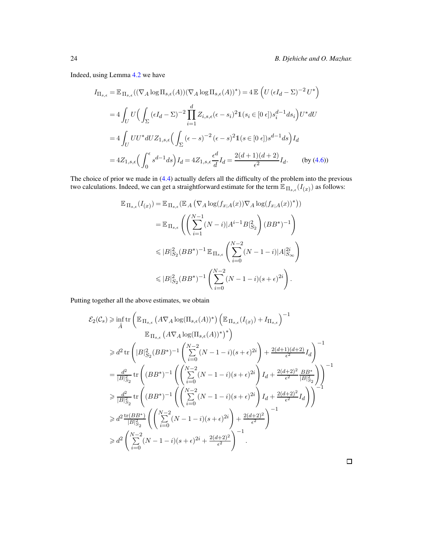Indeed, using Lemma [4.2](#page-22-2) we have

$$
I_{\Pi_{s,\epsilon}} = \mathbb{E}_{\Pi_{s,\epsilon}}((\nabla_A \log \Pi_{s,\epsilon}(A))(\nabla_A \log \Pi_{s,\epsilon}(A))^*) = 4 \mathbb{E}\left(U(\epsilon I_d - \Sigma)^{-2} U^*\right)
$$
  
\n
$$
= 4 \int_U U\Big(\int_{\Sigma} (\epsilon I_d - \Sigma)^{-2} \prod_{i=1}^d Z_{i,s,\epsilon} (\epsilon - s_i)^2 \mathbb{1}(s_i \in [0 \epsilon]) s_i^{d-1} ds_i\Big) U^* dU
$$
  
\n
$$
= 4 \int_U U U^* dU Z_{1,s,\epsilon} \Big(\int_{\Sigma} (\epsilon - s)^{-2} (\epsilon - s)^2 \mathbb{1}(s \in [0 \epsilon]) s^{d-1} ds\Big) I_d
$$
  
\n
$$
= 4 Z_{1,s,\epsilon} \Big(\int_0^{\epsilon} s^{d-1} ds\Big) I_d = 4 Z_{1,s,\epsilon} \frac{\epsilon^d}{d} I_d = \frac{2(d+1)(d+2)}{\epsilon^2} I_d. \qquad \text{(by (4.6))}
$$

The choice of prior we made in [\(4.4\)](#page-21-0) actually defers all the difficulty of the problem into the previous two calculations. Indeed, we can get a straightforward estimate for the term  $\mathbb{E}_{\Pi_{s,\epsilon}}(I_{(x)})$  as follows:

$$
\mathbb{E}_{\Pi_{s,\epsilon}}(I_{(x)}) = \mathbb{E}_{\Pi_{s,\epsilon}}(\mathbb{E}_{A}(\nabla_{A}\log(f_{x;A}(x))\nabla_{A}\log(f_{x;A}(x))^{*}))
$$
\n
$$
= \mathbb{E}_{\Pi_{s,\epsilon}}\left(\left(\sum_{i=1}^{N-1} (N-i)|A^{i-1}B|_{S_{2}}^{2}\right)(BB^{*})^{-1}\right)
$$
\n
$$
\leq |B|_{S_{2}}^{2}(BB^{*})^{-1}\mathbb{E}_{\Pi_{s,\epsilon}}\left(\sum_{i=0}^{N-2} (N-1-i)|A|_{S_{\infty}}^{2i}\right)
$$
\n
$$
\leq |B|_{S_{2}}^{2}(BB^{*})^{-1}\left(\sum_{i=0}^{N-2} (N-1-i)(s+\epsilon)^{2i}\right).
$$

Putting together all the above estimates, we obtain

$$
\mathcal{E}_{2}(\mathcal{C}_{s}) \geq \inf_{\hat{A}} \text{tr}\left(\mathbb{E}_{\prod_{s,\epsilon}}\left(A\nabla_{A}\log(\Pi_{s,\epsilon}(A))^{*}\right)\left(\mathbb{E}_{\prod_{s,\epsilon}}(I_{(x)})+I_{\Pi_{s,\epsilon}}\right)^{-1}\right)
$$
  
\n
$$
\geq d^{2} \text{tr}\left(|B|_{S_{2}}^{2}(BB^{*})^{-1}\left(\sum_{i=0}^{N-2}(N-1-i)(s+\epsilon)^{2i}\right)+\frac{2(d+1)(d+2)}{\epsilon^{2}}I_{d}\right)^{-1}
$$
  
\n
$$
= \frac{d^{2}}{|B|_{S_{2}}^{2}} \text{tr}\left((BB^{*})^{-1}\left(\left(\sum_{i=0}^{N-2}(N-1-i)(s+\epsilon)^{2i}\right)I_{d}+\frac{2(d+2)^{2}}{\epsilon^{2}}\frac{BB^{*}}{|B|_{S_{2}}^{2}}\right)\right)^{-1}
$$
  
\n
$$
\geq \frac{d^{2}}{|B|_{S_{2}}^{2}} \text{tr}\left((BB^{*})^{-1}\left(\left(\sum_{i=0}^{N-2}(N-1-i)(s+\epsilon)^{2i}\right)I_{d}+\frac{2(d+2)^{2}}{\epsilon^{2}}I_{d}\right)\right)^{-1}
$$
  
\n
$$
\geq d^{2}\frac{\text{tr}(BB^{*})}{|B|_{S_{2}}^{2}}\left(\left(\sum_{i=0}^{N-2}(N-1-i)(s+\epsilon)^{2i}\right)+\frac{2(d+2)^{2}}{\epsilon^{2}}\right)^{-1}
$$
  
\n
$$
\geq d^{2}\left(\sum_{i=0}^{N-2}(N-1-i)(s+\epsilon)^{2i}+\frac{2(d+2)^{2}}{\epsilon^{2}}\right)^{-1}.
$$

 $\Box$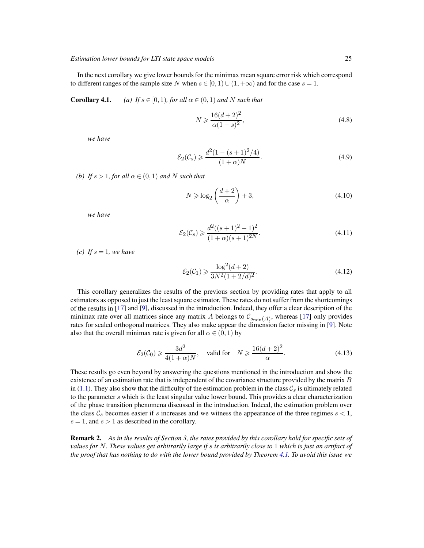In the next corollary we give lower bounds for the minimax mean square error risk which correspond to different ranges of the sample size N when  $s \in [0, 1) \cup (1, +\infty)$  and for the case  $s = 1$ .

**Corollary 4.1.** *(a)* If  $s \in [0, 1)$ *, for all*  $\alpha \in (0, 1)$  *and* N *such that* 

<span id="page-24-2"></span><span id="page-24-1"></span>
$$
N \geqslant \frac{16(d+2)^2}{\alpha(1-s)^2},\tag{4.8}
$$

*we have*

$$
\mathcal{E}_2(\mathcal{C}_s) \ge \frac{d^2(1 - (s+1)^2/4)}{(1+\alpha)N}.
$$
\n(4.9)

*(b)* If  $s > 1$ , for all  $\alpha \in (0, 1)$  and N such that

$$
N \geqslant \log_2\left(\frac{d+2}{\alpha}\right) + 3,\tag{4.10}
$$

*we have*

$$
\mathcal{E}_2(\mathcal{C}_s) \ge \frac{d^2((s+1)^2 - 1)^2}{(1+\alpha)(s+1)^{2N}}.\tag{4.11}
$$

*(c)* If  $s = 1$ *, we have* 

$$
\mathcal{E}_2(\mathcal{C}_1) \ge \frac{\log^2(d+2)}{3N^2(1+2/d)^2}.
$$
\n(4.12)

This corollary generalizes the results of the previous section by providing rates that apply to all estimators as opposed to just the least square estimator. These rates do not suffer from the shortcomings of the results in [\[17](#page-39-0)] and [\[9\]](#page-39-1), discussed in the introduction. Indeed, they offer a clear description of the minimax rate over all matrices since any matrix A belongs to  $\mathcal{C}_{s_{\min}(A)}$ , whereas [\[17\]](#page-39-0) only provides rates for scaled orthogonal matrices. They also make appear the dimension factor missing in [\[9\]](#page-39-1). Note also that the overall minimax rate is given for all  $\alpha \in (0,1)$  by

$$
\mathcal{E}_2(\mathcal{C}_0) \ge \frac{3d^2}{4(1+\alpha)N}, \quad \text{valid for} \quad N \ge \frac{16(d+2)^2}{\alpha}.\tag{4.13}
$$

These results go even beyond by answering the questions mentioned in the introduction and show the existence of an estimation rate that is independent of the covariance structure provided by the matrix  $B$ in [\(1.1\)](#page-0-0). They also show that the difficulty of the estimation problem in the class  $\mathcal{C}_s$  is ultimately related to the parameter  $s$  which is the least singular value lower bound. This provides a clear characterization of the phase transition phenomena discussed in the introduction. Indeed, the estimation problem over the class  $\mathcal{C}_s$  becomes easier if s increases and we witness the appearance of the three regimes  $s < 1$ ,  $s = 1$ , and  $s > 1$  as described in the corollary.

<span id="page-24-0"></span>Remark 2. *As in the results of Section 3, the rates provided by this corollary hold for specific sets of values for* N*. These values get arbitrarily large if* s *is arbitrarily close to* 1 *which is just an artifact of the proof that has nothing to do with the lower bound provided by Theorem [4.1.](#page-19-0) To avoid this issue we*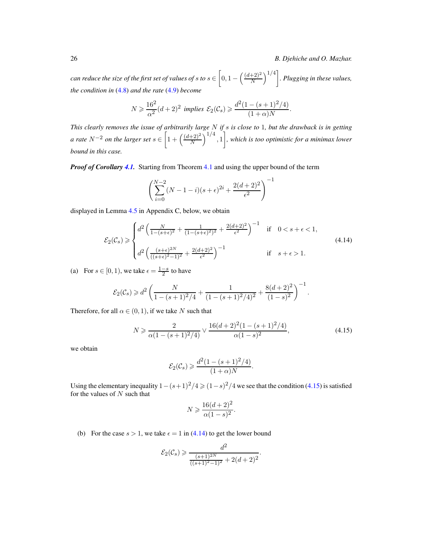26 *B. Djehiche and O. Mazhar.*

 $can\ reduce\ the\ size\ of\ the\ first\ set\ of\ values\ of\ s\ to\ s\in\left[0,1-\left(\frac{(d+2)^2}{N}\right)\ \right]$  $\left(\frac{+2}{N}\right)^{1/4}$ . Plugging in these values, *the condition in* [\(4.8\)](#page-24-1) *and the rate* [\(4.9\)](#page-24-2) *become*

$$
N \geq \frac{16^2}{\alpha^2} (d+2)^2 \implies \mathcal{E}_2(\mathcal{C}_s) \geq \frac{d^2 (1 - (s+1)^2/4)}{(1+\alpha)N}.
$$

*This clearly removes the issue of arbitrarily large* N *if* s *is close to* 1*, but the drawback is in getting a rate*  $N^{-2}$  *on the larger set*  $s \in \left[1 + \left(\frac{(d+2)^2}{N}\right)\right]$  $\left(\frac{+2}{N}\right)^{1/4}, 1\Big]$ , which is too optimistic for a minimax lower *bound in this case.*

*Proof of Corollary 4.1.* Starting from Theorem [4.1](#page-19-0) and using the upper bound of the term

$$
\left(\sum_{i=0}^{N-2} (N-1-i)(s+\epsilon)^{2i} + \frac{2(d+2)^2}{\epsilon^2}\right)^{-1}
$$

displayed in Lemma [4.5](#page-38-0) in Appendix C, below, we obtain

<span id="page-25-1"></span>
$$
\mathcal{E}_2(\mathcal{C}_s) \geq \begin{cases} d^2 \left( \frac{N}{1 - (s + \epsilon)^2} + \frac{1}{(1 - (s + \epsilon)^2)^2} + \frac{2(d + 2)^2}{\epsilon^2} \right)^{-1} & \text{if } 0 < s + \epsilon < 1, \\ d^2 \left( \frac{(s + \epsilon)^{2N}}{((s + \epsilon)^2 - 1)^2} + \frac{2(d + 2)^2}{\epsilon^2} \right)^{-1} & \text{if } s + \epsilon > 1. \end{cases} \tag{4.14}
$$

(a) For  $s \in [0, 1)$ , we take  $\epsilon = \frac{1-s}{2}$  to have

$$
\mathcal{E}_2(\mathcal{C}_s) \geq d^2 \left( \frac{N}{1 - (s+1)^2/4} + \frac{1}{(1 - (s+1)^2/4)^2} + \frac{8(d+2)^2}{(1-s)^2} \right)^{-1}.
$$

Therefore, for all  $\alpha \in (0,1)$ , if we take N such that

<span id="page-25-0"></span>
$$
N \ge \frac{2}{\alpha(1 - (s+1)^2/4)} \vee \frac{16(d+2)^2(1 - (s+1)^2/4)}{\alpha(1-s)^2},\tag{4.15}
$$

we obtain

$$
\mathcal{E}_2(\mathcal{C}_s) \geq \frac{d^2(1 - (s+1)^2/4)}{(1+\alpha)N}.
$$

Using the elementary inequality  $1 - (s+1)^2/4 \ge (1-s)^2/4$  we see that the condition [\(4.15\)](#page-25-0) is satisfied for the values of  $N$  such that

$$
N \geqslant \frac{16(d+2)^2}{\alpha(1-s)^2}.
$$

(b) For the case  $s > 1$ , we take  $\epsilon = 1$  in [\(4.14\)](#page-25-1) to get the lower bound

$$
\mathcal{E}_2(\mathcal{C}_s) \geq \frac{d^2}{\frac{(s+1)^{2N}}{((s+1)^2-1)^2} + 2(d+2)^2}.
$$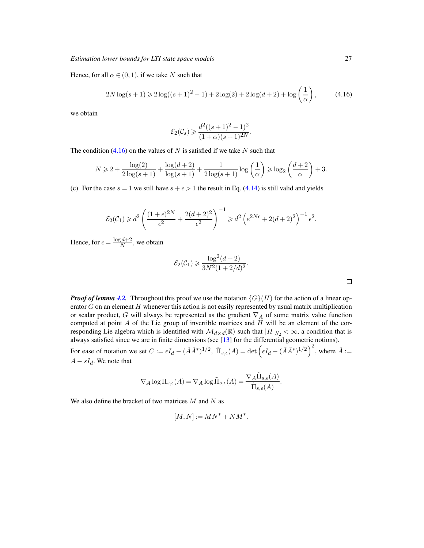Hence, for all  $\alpha \in (0,1)$ , if we take N such that

<span id="page-26-0"></span>
$$
2N\log(s+1) \geq 2\log((s+1)^2 - 1) + 2\log(2) + 2\log(d+2) + \log\left(\frac{1}{\alpha}\right),\tag{4.16}
$$

we obtain

$$
\mathcal{E}_2(\mathcal{C}_s) \geq \frac{d^2((s+1)^2 - 1)^2}{(1+\alpha)(s+1)^{2N}}.
$$

The condition  $(4.16)$  on the values of N is satisfied if we take N such that

$$
N \geq 2 + \frac{\log(2)}{2\log(s+1)} + \frac{\log(d+2)}{\log(s+1)} + \frac{1}{2\log(s+1)}\log\left(\frac{1}{\alpha}\right) \geq \log_2\left(\frac{d+2}{\alpha}\right) + 3.
$$

(c) For the case  $s = 1$  we still have  $s + \epsilon > 1$  the result in Eq. [\(4.14\)](#page-25-1) is still valid and yields

$$
\mathcal{E}_2(\mathcal{C}_1) \geq d^2 \left( \frac{(1+\epsilon)^{2N}}{\epsilon^2} + \frac{2(d+2)^2}{\epsilon^2} \right)^{-1} \geq d^2 \left( e^{2N\epsilon} + 2(d+2)^2 \right)^{-1} \epsilon^2.
$$

Hence, for  $\epsilon = \frac{\log d + 2}{N}$  $\frac{a+2}{N}$ , we obtain

$$
\mathcal{E}_2(\mathcal{C}_1) \geqslant \frac{\log^2(d+2)}{3N^2(1+2/d)^2}
$$

.

| <b>Proof of lemma 4.2.</b> Throughout this proof we use the notation $\{G\}(H)$ for the action of a linear op-                             |
|--------------------------------------------------------------------------------------------------------------------------------------------|
| erator $G$ on an element $H$ whenever this action is not easily represented by usual matrix multiplication                                 |
| or scalar product, G will always be represented as the gradient $\nabla_A$ of some matrix value function                                   |
| computed at point A of the Lie group of invertible matrices and $H$ will be an element of the cor-                                         |
| responding Lie algebra which is identified with $\mathcal{M}_{d\times d}(\mathbb{R})$ such that $ H _{S_2} < \infty$ , a condition that is |
| always satisfied since we are in finite dimensions (see $[13]$ for the differential geometric notions).                                    |

For ease of notation we set  $C := \epsilon I_d - (\tilde{A}\tilde{A}^*)^{1/2}$ ,  $\tilde{\Pi}_{s,\epsilon}(A) = \det \left( \epsilon I_d - (\tilde{A}\tilde{A}^*)^{1/2} \right)^2$ , where  $\tilde{A} :=$  $A - sI_d$ . We note that

$$
\nabla_A \log \Pi_{s,\epsilon}(A) = \nabla_A \log \tilde{\Pi}_{s,\epsilon}(A) = \frac{\nabla_A \tilde{\Pi}_{s,\epsilon}(A)}{\tilde{\Pi}_{s,\epsilon}(A)}.
$$

We also define the bracket of two matrices  $M$  and  $N$  as

$$
[M,N] := MN^* + NM^*.
$$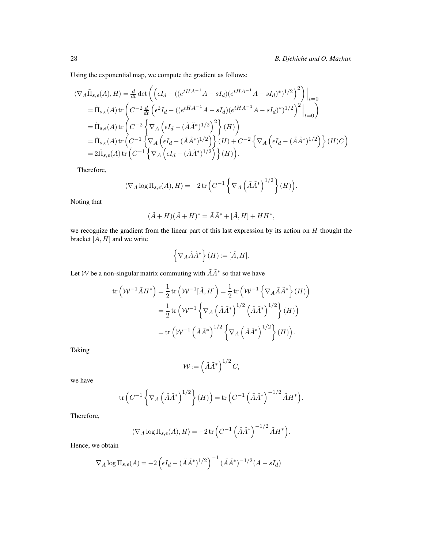Using the exponential map, we compute the gradient as follows:

$$
\langle \nabla_A \tilde{\Pi}_{s,\epsilon}(A), H \rangle = \frac{d}{dt} \det \left( \left( \epsilon I_d - \left( (e^{tHA^{-1}} A - sI_d)(e^{tHA^{-1}} A - sI_d)^* \right)^{1/2} \right)^2 \right) \Big|_{t=0}
$$
  
\n
$$
= \tilde{\Pi}_{s,\epsilon}(A) \operatorname{tr} \left( C^{-2} \frac{d}{dt} \left( \epsilon^2 I_d - \left( (e^{tHA^{-1}} A - sI_d)(e^{tHA^{-1}} A - sI_d)^* \right)^{1/2} \right)^2 \Big|_{t=0} \right)
$$
  
\n
$$
= \tilde{\Pi}_{s,\epsilon}(A) \operatorname{tr} \left( C^{-2} \left\{ \nabla_A \left( \epsilon I_d - (\tilde{A}\tilde{A}^*)^{1/2} \right)^2 \right\} (H) \right)
$$
  
\n
$$
= \tilde{\Pi}_{s,\epsilon}(A) \operatorname{tr} \left( C^{-1} \left\{ \nabla_A \left( \epsilon I_d - (\tilde{A}\tilde{A}^*)^{1/2} \right) \right\} (H) + C^{-2} \left\{ \nabla_A \left( \epsilon I_d - (\tilde{A}\tilde{A}^*)^{1/2} \right) \right\} (H) C \right\}
$$
  
\n
$$
= 2\tilde{\Pi}_{s,\epsilon}(A) \operatorname{tr} \left( C^{-1} \left\{ \nabla_A \left( \epsilon I_d - (\tilde{A}\tilde{A}^*)^{1/2} \right) \right\} (H) \right).
$$

Therefore,

$$
\langle \nabla_A \log \Pi_{s,\epsilon}(A), H \rangle = -2 \operatorname{tr} \left( C^{-1} \left\{ \nabla_A \left( \tilde{A} \tilde{A}^* \right)^{1/2} \right\}(H) \right).
$$

Noting that

$$
(\tilde{A}+H)(\tilde{A}+H)^*=\tilde{A}\tilde{A}^*+[\tilde{A},H]+HH^*,
$$

we recognize the gradient from the linear part of this last expression by its action on  $H$  thought the bracket  $[\tilde{A}, H]$  and we write

$$
\left\{\nabla_A \tilde{A} \tilde{A}^*\right\}(H) := [\tilde{A}, H].
$$

Let W be a non-singular matrix commuting with  $\tilde{A}\tilde{A}^*$  so that we have

$$
\operatorname{tr}\left(\mathcal{W}^{-1}\tilde{A}H^*\right) = \frac{1}{2}\operatorname{tr}\left(\mathcal{W}^{-1}[\tilde{A},H]\right) = \frac{1}{2}\operatorname{tr}\left(\mathcal{W}^{-1}\left\{\nabla_A\tilde{A}\tilde{A}^*\right\}(H)\right)
$$

$$
= \frac{1}{2}\operatorname{tr}\left(\mathcal{W}^{-1}\left\{\nabla_A\left(\tilde{A}\tilde{A}^*\right)^{1/2}\left(\tilde{A}\tilde{A}^*\right)^{1/2}\right\}(H)\right)
$$

$$
= \operatorname{tr}\left(\mathcal{W}^{-1}\left(\tilde{A}\tilde{A}^*\right)^{1/2}\left\{\nabla_A\left(\tilde{A}\tilde{A}^*\right)^{1/2}\right\}(H)\right).
$$

Taking

$$
\mathcal{W} := \left(\tilde{A}\tilde{A}^*\right)^{1/2}C,
$$

we have

$$
\operatorname{tr}\left(C^{-1}\left\{\nabla_A\left(\tilde{A}\tilde{A}^*\right)^{1/2}\right\}(H)\right) = \operatorname{tr}\left(C^{-1}\left(\tilde{A}\tilde{A}^*\right)^{-1/2}\tilde{A}H^*\right).
$$

Therefore,

$$
\langle \nabla_A \log \Pi_{s,\epsilon}(A), H \rangle = -2 \operatorname{tr} \left( C^{-1} \left( \tilde{A} \tilde{A}^* \right)^{-1/2} \tilde{A} H^* \right).
$$

Hence, we obtain

$$
\nabla_A \log \Pi_{s,\epsilon}(A) = -2\left(\epsilon I_d - (\tilde{A}\tilde{A}^*)^{1/2}\right)^{-1} (\tilde{A}\tilde{A}^*)^{-1/2}(A - sI_d)
$$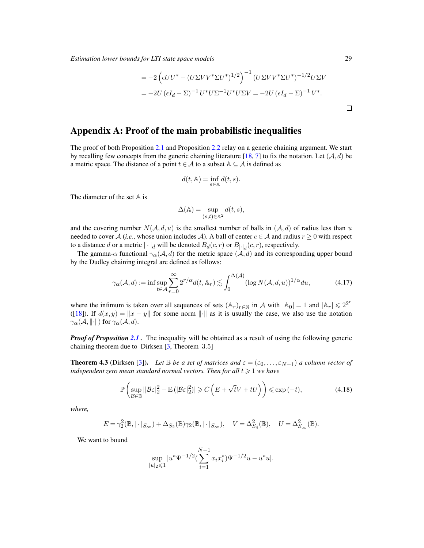*Estimation lower bounds for LTI state space models* 29

$$
= -2\left(\epsilon U U^* - (U\Sigma V V^* \Sigma U^*)^{1/2}\right)^{-1} (U\Sigma V V^* \Sigma U^*)^{-1/2} U \Sigma V
$$
  
=  $-2U \left(\epsilon I_d - \Sigma\right)^{-1} U^* U \Sigma^{-1} U^* U \Sigma V = -2U \left(\epsilon I_d - \Sigma\right)^{-1} V^*.$ 

## Appendix A: Proof of the main probabilistic inequalities

The proof of both Proposition [2.1](#page-11-0) and Proposition [2.2](#page-11-1) relay on a generic chaining argument. We start by recalling few concepts from the generic chaining literature [\[18,](#page-40-0) [7\]](#page-39-11) to fix the notation. Let  $(A, d)$  be a metric space. The distance of a point  $t \in A$  to a subset  $A \subseteq A$  is defined as

$$
d(t, \mathbb{A}) = \inf_{s \in \mathbb{A}} d(t, s).
$$

The diameter of the set  $A$  is

$$
\Delta(\mathbb{A}) = \sup_{(s,t) \in \mathbb{A}^2} d(t,s),
$$

and the covering number  $N(A, d, u)$  is the smallest number of balls in  $(A, d)$  of radius less than u needed to cover A (*i.e.*, whose union includes A). A ball of center  $c \in A$  and radius  $r \ge 0$  with respect to a distance d or a metric  $|\cdot|_d$  will be denoted  $B_d(c,r)$  or  $B_{|\cdot|_d}(c,r)$ , respectively.

The gamma- $\alpha$  functional  $\gamma_{\alpha}(\mathcal{A}, d)$  for the metric space  $(\mathcal{A}, d)$  and its corresponding upper bound by the Dudley chaining integral are defined as follows:

$$
\gamma_{\alpha}(\mathcal{A}, d) := \inf \sup_{t \in \mathcal{A}} \sum_{r=0}^{\infty} 2^{r/\alpha} d(t, \mathbb{A}_r) \lesssim \int_0^{\Delta(\mathcal{A})} (\log N(\mathcal{A}, d, u))^{1/\alpha} du,
$$
 (4.17)

where the infimum is taken over all sequences of sets  $(\mathbb{A}_r)_{r \in \mathbb{N}}$  in A with  $|\mathbb{A}_0| = 1$  and  $|\mathbb{A}_r| \leq 2^{2^r}$ ([\[18\]](#page-40-0)). If  $d(x, y) = ||x - y||$  for some norm  $|| \cdot ||$  as it is usually the case, we also use the notation  $\gamma_{\alpha}(\mathcal{A}, \|\cdot\|)$  for  $\gamma_{\alpha}(\mathcal{A}, d)$ .

*Proof of Proposition* [2.1](#page-11-0). The inequality will be obtained as a result of using the following generic chaining theorem due to Dirksen [\[3,](#page-39-12) Theorem 3.5]

**Theorem 4.3** (Dirksen [\[3](#page-39-12)]). Let  $\mathbb{B}$  *be a set of matrices and*  $\varepsilon = (\varepsilon_0, \ldots, \varepsilon_{N-1})$  *a column vector of independent zero mean standard normal vectors. Then for all*  $t \geq 1$  *we have* 

$$
\mathbb{P}\left(\sup_{\mathcal{B}\in\mathbb{B}}||\mathcal{B}\varepsilon|_{2}^{2}-\mathbb{E}\left(|\mathcal{B}\varepsilon|_{2}^{2}\right)|\geqslant C\left(E+\sqrt{t}V+tU\right)\right)\leqslant\exp\left(-t\right),\tag{4.18}
$$

*where,*

$$
E = \gamma_2^2(\mathbb{B}, |\cdot|_{S_{\infty}}) + \Delta_{S_2}(\mathbb{B})\gamma_2(\mathbb{B}, |\cdot|_{S_{\infty}}), \quad V = \Delta_{S_4}^2(\mathbb{B}), \quad U = \Delta_{S_{\infty}}^2(\mathbb{B}).
$$

We want to bound

$$
\sup_{|u|_2 \leq 1} |u^* \Psi^{-1/2} (\sum_{i=1}^{N-1} x_i x_i^*) \Psi^{-1/2} u - u^* u|.
$$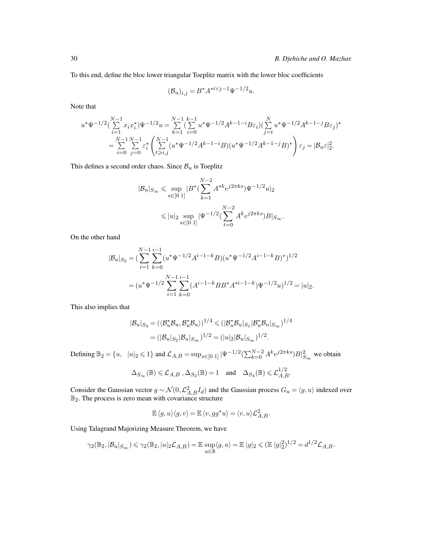To this end, define the bloc lower triangular Toeplitz matrix with the lower bloc coefficients

$$
(\mathcal{B}_u)_{i,j} = B^* A^{*i \vee j-1} \Psi^{-1/2} u.
$$

Note that

$$
u^* \Psi^{-1/2} \left( \sum_{i=1}^{N-1} x_i x_i^* \right) \Psi^{-1/2} u = \sum_{k=1}^{N-1} \left( \sum_{i=0}^{k-1} u^* \Psi^{-1/2} A^{k-1-i} B \varepsilon_i \right) \left( \sum_{j=t}^{N} u^* \Psi^{-1/2} A^{k-1-j} B \varepsilon_j \right)^*
$$
  
= 
$$
\sum_{i=0}^{N-1} \sum_{j=0}^{N-1} \varepsilon_i^* \left( \sum_{t \ge i,j}^{N-1} (u^* \Psi^{-1/2} A^{k-1-i} B) (u^* \Psi^{-1/2} A^{k-1-j} B)^* \right) \varepsilon_j = |\mathcal{B}_u \varepsilon|_2^2.
$$

This defines a second order chaos. Since  $B_u$  is Toeplitz

$$
\begin{aligned} |\mathcal{B}_u|_{S_\infty} &\leqslant \sup_{s\in[0\ 1]} |B^*(\sum_{k=1}^{N-2}A^{*k}e^{j2\pi ks})\Psi^{-1/2}u|_2\\ &\leqslant |u|_2\sup_{s\in[0\ 1]}|\Psi^{-1/2}(\sum_{t=0}^{N-2}A^ke^{j2\pi ks})B|_{S_\infty}. \end{aligned}
$$

On the other hand

$$
|\mathcal{B}_u|_{S_2} = \left(\sum_{i=1}^{N-1} \sum_{k=0}^{i-1} (u^* \Psi^{-1/2} A^{i-1-k} B)(u^* \Psi^{-1/2} A^{i-1-k} B)^*\right)^{1/2}
$$
  
=  $(u^* \Psi^{-1/2} \sum_{i=1}^{N-1} \sum_{k=0}^{i-1} (A^{i-1-k} B B^* A^{*i-1-k}) \Psi^{-1/2} u)^{1/2} = |u|_2.$ 

This also implies that

$$
|\mathcal{B}_u|_{S_4} = (\langle \mathcal{B}_u^* \mathcal{B}_u, \mathcal{B}_u^* \mathcal{B}_u \rangle)^{1/4} \leq (|\mathcal{B}_u^* \mathcal{B}_u|_{S_1} |\mathcal{B}_u^* \mathcal{B}_u|_{S_{\infty}})^{1/4}
$$
  
= 
$$
(|\mathcal{B}_u|_{S_2} |\mathcal{B}_u|_{S_{\infty}})^{1/2} = (|u|_2 |\mathcal{B}_u|_{S_{\infty}})^{1/2}.
$$

Defining  $\mathbb{B}_2 = \{u, |u|_2 \le 1\}$  and  $\mathcal{L}_{A,B} = \sup_{s \in [0,1]} |\Psi^{-1/2}(\sum_{k=0}^{N-2} A^k e^{j2\pi ks})B|_{S_\infty}^2$  we obtain

$$
\Delta_{S_{\infty}}(\mathbb{B}) \leq \mathcal{L}_{A,B}, \Delta_{S_2}(\mathbb{B}) = 1 \text{ and } \Delta_{S_4}(\mathbb{B}) \leq \mathcal{L}_{A,B}^{1/2}.
$$

Consider the Gaussian vector  $g \sim \mathcal{N}(0, \mathcal{L}_{A,B}^2 I_d)$  and the Gaussian process  $G_u = \langle g, u \rangle$  indexed over  $\mathbb{B}_2$ . The process is zero mean with covariance structure

$$
\mathbb{E}\left\langle g,u\right\rangle\langle g,v\rangle=\mathbb{E}\left\langle v,gg^*u\right\rangle=\langle v,u\rangle\mathcal{L}_{A,B}^2.
$$

Using Talagrand Majorizing Measure Theorem, we have

$$
\gamma_2(\mathbb{B}_2, |\mathcal{B}_u|_{S_{\infty}}) \leq \gamma_2(\mathbb{B}_2, |u|_2 \mathcal{L}_{A,B}) = \mathbb{E} \sup_{u \in \mathbb{B}} \langle g, u \rangle = \mathbb{E} |g|_2 \leq (\mathbb{E} |g|_2^2)^{1/2} = d^{1/2} \mathcal{L}_{A,B}.
$$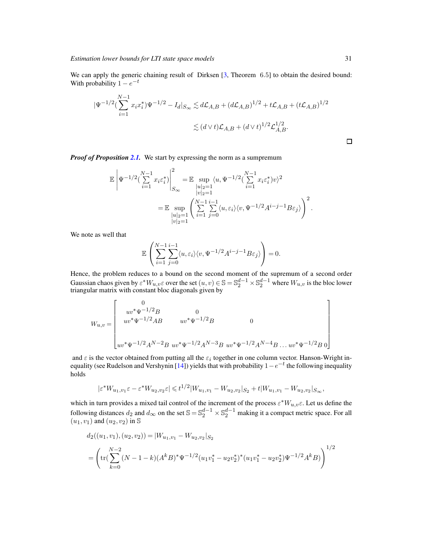We can apply the generic chaining result of Dirksen [\[3,](#page-39-12) Theorem 6.5] to obtain the desired bound: With probability  $1 - e^{-t}$ 

$$
\begin{aligned} |\Psi^{-1/2}(\sum_{i=1}^{N-1} x_i x_i^*) \Psi^{-1/2} - I_d|_{S_{\infty}} &\lesssim d\mathcal{L}_{A,B} + (d\mathcal{L}_{A,B})^{1/2} + t\mathcal{L}_{A,B} + (t\mathcal{L}_{A,B})^{1/2} \\ &\lesssim (d\vee t)\mathcal{L}_{A,B} + (d\vee t)^{1/2}\mathcal{L}_{A,B}^{1/2} . \end{aligned}
$$

*Proof of Proposition [2.1.](#page-11-0)* We start by expressing the norm as a sumpremum

$$
\mathbb{E}\left|\Psi^{-1/2}\left(\sum_{i=1}^{N-1}x_i\varepsilon_i^*\right)\right|^2_{S_{\infty}} = \mathbb{E}\sup_{\substack{|u|_2=1 \ |v|_2=1}} \langle u, \Psi^{-1/2}\left(\sum_{i=1}^{N-1}x_i\varepsilon_i^*\right)v\rangle^2
$$

$$
= \mathbb{E}\sup_{\substack{|u|_2=1 \ |u|_2=1}} \left(\sum_{i=1}^{N-1}\sum_{j=0}^{i-1} \langle u, \varepsilon_i \rangle \langle v, \Psi^{-1/2}A^{i-j-1}B\varepsilon_j \rangle\right)^2.
$$

We note as well that

$$
\mathbb{E}\left(\sum_{i=1}^{N-1}\sum_{j=0}^{i-1}\langle u,\varepsilon_i\rangle\langle v,\Psi^{-1/2}A^{i-j-1}B\varepsilon_j\rangle\right)=0.
$$

Hence, the problem reduces to a bound on the second moment of the supremum of a second order Gaussian chaos given by  $\varepsilon^* W_{u,v} \varepsilon$  over the set  $(u,v) \in \mathbb{S} = \mathbb{S}_2^{d-1} \times \mathbb{S}_2^{d-1}$  where  $W_{u,v}$  is the bloc lower triangular matrix with constant bloc diagonals given by

$$
W_{u,v} = \begin{bmatrix} 0 & 0 & 0 \\ uv^* \Psi^{-1/2} B & 0 & 0 \\ uv^* \Psi^{-1/2} AB & uv^* \Psi^{-1/2} B & 0 \\ uv^* \Psi^{-1/2} A^{N-2} B & uv^* \Psi^{-1/2} A^{N-3} B & uv^* \Psi^{-1/2} A^{N-4} B \dots uv^* \Psi^{-1/2} B & 0 \end{bmatrix}
$$

and  $\varepsilon$  is the vector obtained from putting all the  $\varepsilon_i$  together in one column vector. Hanson-Wright in-equality (see Rudelson and Vershynin [\[14\]](#page-39-13)) yields that with probability  $1-e^{-t}$  the following inequality holds

$$
|\varepsilon^* W_{u_1, v_1} \varepsilon - \varepsilon^* W_{u_2, v_2} \varepsilon| \leq t^{1/2} |W_{u_1, v_1} - W_{u_2, v_2}|_{S_2} + t |W_{u_1, v_1} - W_{u_2, v_2}|_{S_{\infty}},
$$

which in turn provides a mixed tail control of the increment of the process  $\varepsilon^*W_{u,v}\varepsilon$ . Let us define the following distances  $d_2$  and  $d_\infty$  on the set  $\mathbb{S} = \mathbb{S}_2^{d-1} \times \mathbb{S}_2^{d-1}$  making it a compact metric space. For all  $(u_1, v_1)$  and  $(u_2, v_2)$  in S

$$
d_2((u_1, v_1), (u_2, v_2)) = |W_{u_1, v_1} - W_{u_2, v_2}|_{S_2}
$$
  
= 
$$
\left(\text{tr}(\sum_{k=0}^{N-2} (N-1-k)(A^k B)^* \Psi^{-1/2} (u_1 v_1^* - u_2 v_2^*)^* (u_1 v_1^* - u_2 v_2^*) \Psi^{-1/2} A^k B)\right)^{1/2}
$$

 $\Box$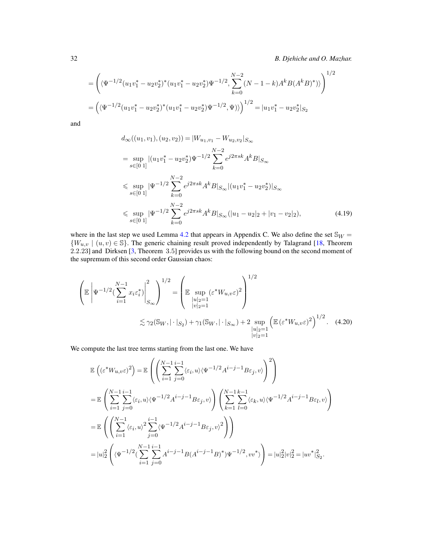32 *B. Djehiche and O. Mazhar.*

$$
= \left( \langle \Psi^{-1/2} (u_1 v_1^* - u_2 v_2^*)^* (u_1 v_1^* - u_2 v_2^*) \Psi^{-1/2} , \sum_{k=0}^{N-2} (N-1-k) A^k B (A^k B)^* ) \rangle \right)^{1/2}
$$
  
= 
$$
\left( \langle \Psi^{-1/2} (u_1 v_1^* - u_2 v_2^*)^* (u_1 v_1^* - u_2 v_2^*) \Psi^{-1/2} , \Psi ) \rangle \right)^{1/2} = |u_1 v_1^* - u_2 v_2^*|_{S_2}
$$

and

<span id="page-31-0"></span>
$$
d_{\infty}((u_1, v_1), (u_2, v_2)) = |W_{u_1, v_1} - W_{u_2, v_2}|_{S_{\infty}}
$$
  
\n
$$
= \sup_{s \in [0 \ 1]} |(u_1v_1^* - u_2v_2^*)\Psi^{-1/2} \sum_{k=0}^{N-2} e^{j2\pi sk} A^k B|_{S_{\infty}}
$$
  
\n
$$
\leq \sup_{s \in [0 \ 1]} |\Psi^{-1/2} \sum_{k=0}^{N-2} e^{j2\pi sk} A^k B|_{S_{\infty}} |(u_1v_1^* - u_2v_2^*)|_{S_{\infty}}
$$
  
\n
$$
\leq \sup_{s \in [0 \ 1]} |\Psi^{-1/2} \sum_{k=0}^{N-2} e^{j2\pi sk} A^k B|_{S_{\infty}} (|u_1 - u_2|_2 + |v_1 - v_2|_2), \tag{4.19}
$$

where in the last step we used Lemma [4.2](#page-36-1) that appears in Appendix C. We also define the set  $\mathcal{S}_W$  =  ${W_{u,v} | (u, v) \in \mathbb{S}}$ . The generic chaining result proved independently by Talagrand [\[18](#page-40-0), Theorem 2.2.23] and Dirksen [\[3](#page-39-12), Theorem 3.5] provides us with the following bound on the second moment of the supremum of this second order Gaussian chaos:

$$
\left(\mathbb{E}\left|\Psi^{-1/2}\left(\sum_{i=1}^{N-1}x_{i}\varepsilon_{i}^{*}\right)\right|_{S_{\infty}}^{2}\right)^{1/2} = \left(\mathbb{E}\sup_{\substack{|u|_{2}=1\\|v|_{2}=1}}\left(\varepsilon^{*}W_{u,v}\varepsilon\right)^{2}\right)^{1/2}
$$

$$
\lesssim \gamma_{2}(\mathbb{S}_{W},|\cdot|_{S_{2}}) + \gamma_{1}(\mathbb{S}_{W},|\cdot|_{S_{\infty}}) + 2\sup_{\substack{|u|_{2}=1\\|v|_{2}=1}}\left(\mathbb{E}\left(\varepsilon^{*}W_{u,v}\varepsilon\right)^{2}\right)^{1/2}.\quad(4.20)
$$

We compute the last tree terms starting from the last one. We have

<span id="page-31-1"></span>
$$
\mathbb{E}\left((\varepsilon^* W_{u,v}\varepsilon)^2\right) = \mathbb{E}\left(\left(\sum_{i=1}^{N-1}\sum_{j=0}^{i-1}\langle\varepsilon_i, u\rangle\langle\Psi^{-1/2}A^{i-j-1}B\varepsilon_j, v\rangle\right)^2\right)
$$
\n
$$
= \mathbb{E}\left(\sum_{i=1}^{N-1}\sum_{j=0}^{i-1}\langle\varepsilon_i, u\rangle\langle\Psi^{-1/2}A^{i-j-1}B\varepsilon_j, v\rangle\right)\left(\sum_{k=1}^{N-1}\sum_{l=0}^{k-1}\langle\varepsilon_k, u\rangle\langle\Psi^{-1/2}A^{i-j-1}B\varepsilon_l, v\rangle\right)
$$
\n
$$
= \mathbb{E}\left(\left(\sum_{i=1}^{N-1}\langle\varepsilon_i, u\rangle^2\sum_{j=0}^{i-1}\langle\Psi^{-1/2}A^{i-j-1}B\varepsilon_j, v\rangle^2\right)\right)
$$
\n
$$
= |u|_2^2\left(\langle\Psi^{-1/2}(\sum_{i=1}^{N-1}\sum_{j=0}^{i-1}A^{i-j-1}B(A^{i-j-1}B)^*)\Psi^{-1/2}, vv^*\rangle\right) = |u|_2^2|v|_2^2 = |uv^*|_{S_2}^2.
$$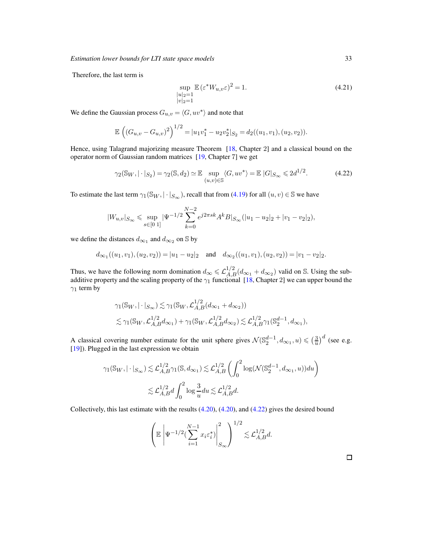Therefore, the last term is

$$
\sup_{\substack{|u|_2=1\\|v|_2=1}} \mathbb{E} \left( \varepsilon^* W_{u,v} \varepsilon \right)^2 = 1. \tag{4.21}
$$

We define the Gaussian process  $G_{u,v} = \langle G, uv^* \rangle$  and note that

$$
\mathbb{E}\left((G_{u,v}-G_{u,v})^2\right)^{1/2} = |u_1v_1^*-u_2v_2^*|_{S_2} = d_2((u_1,v_1),(u_2,v_2)).
$$

Hence, using Talagrand majorizing measure Theorem [\[18,](#page-40-0) Chapter 2] and a classical bound on the operator norm of Gaussian random matrices [\[19,](#page-40-1) Chapter 7] we get

<span id="page-32-0"></span>
$$
\gamma_2(\mathbb{S}_W, |\cdot|_{S_2}) = \gamma_2(\mathbb{S}, d_2) \simeq \mathbb{E} \sup_{(u,v) \in \mathbb{S}} \langle G, uv^* \rangle = \mathbb{E} |G|_{S_{\infty}} \leq 2d^{1/2}.
$$
 (4.22)

To estimate the last term  $\gamma_1(\mathbb{S}_W, |\cdot|_{S_{\infty}})$ , recall that from [\(4.19\)](#page-31-0) for all  $(u, v) \in \mathbb{S}$  we have

$$
|W_{u,v}|_{S_{\infty}} \leqslant \sup_{s \in [0,1]} |\Psi^{-1/2} \sum_{k=0}^{N-2} e^{j2\pi sk} A^k B|_{S_{\infty}} (|u_1 - u_2|_2 + |v_1 - v_2|_2),
$$

we define the distances  $d_{\infty_1}$  and  $d_{\infty_2}$  on S by

$$
d_{\infty_1}((u_1, v_1), (u_2, v_2)) = |u_1 - u_2|_2
$$
 and  $d_{\infty_2}((u_1, v_1), (u_2, v_2)) = |v_1 - v_2|_2$ .

Thus, we have the following norm domination  $d_{\infty} \le \mathcal{L}_{A,B}^{1/2}(d_{\infty_1} + d_{\infty_2})$  valid on S. Using the subadditive property and the scaling property of the  $\gamma_1$  functional [\[18,](#page-40-0) Chapter 2] we can upper bound the  $\gamma_1$  term by

$$
\gamma_1(\mathbb{S}_W, |\cdot|_{S_{\infty}}) \lesssim \gamma_1(\mathbb{S}_W, \mathcal{L}_{A,B}^{1/2}(d_{\infty_1} + d_{\infty_2}))
$$
  

$$
\lesssim \gamma_1(\mathbb{S}_W, \mathcal{L}_{A,B}^{1/2}d_{\infty_1}) + \gamma_1(\mathbb{S}_W, \mathcal{L}_{A,B}^{1/2}d_{\infty_2}) \lesssim \mathcal{L}_{A,B}^{1/2}\gamma_1(\mathbb{S}_2^{d-1}, d_{\infty_1}),
$$

A classical covering number estimate for the unit sphere gives  $\mathcal{N}(\mathbb{S}_2^{d-1}, d_{\infty_1}, u) \leqslant (\frac{3}{u})^d$  (see e.g. [\[19](#page-40-1)]). Plugged in the last expression we obtain

$$
\begin{aligned} \gamma_1(\mathbb{S}_W,|\cdot|_{S_\infty}) &\lesssim \mathcal{L}_{A,B}^{1/2} \gamma_1(\mathbb{S},d_{\infty_1}) \lesssim \mathcal{L}_{A,B}^{1/2} \left(\int_0^2 \log(\mathcal{N}(\mathbb{S}_2^{d-1},d_{\infty_1},u))du\right)\\ &\lesssim \mathcal{L}_{A,B}^{1/2}d\int_0^2 \log \frac{3}{u}du \lesssim \mathcal{L}_{A,B}^{1/2}d. \end{aligned}
$$

Collectively, this last estimate with the results [\(4.20\)](#page-31-1), [\(4.20\)](#page-31-1), and [\(4.22\)](#page-32-0) gives the desired bound

$$
\left(\mathbb{E}\left|\Psi^{-1/2}(\sum_{i=1}^{N-1}x_i\varepsilon_i^*)\right|_{S_{\infty}}^2\right)^{1/2}\lesssim \mathcal{L}_{A,B}^{1/2}d.
$$

 $\Box$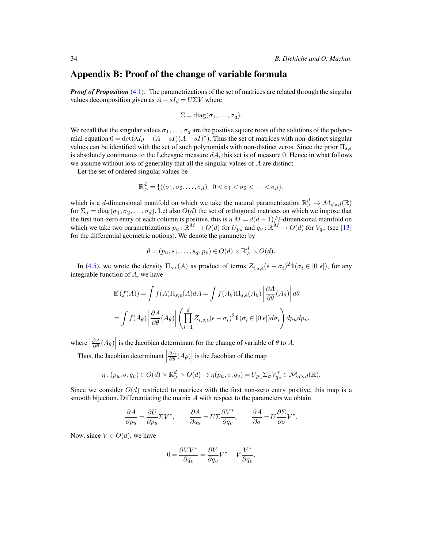### Appendix B: Proof of the change of variable formula

*Proof of Proposition* [\(4.1\)](#page-22-0). The parametrizations of the set of matrices are related through the singular values decomposition given as  $A - sI_d = U\Sigma V$  where

$$
\Sigma = \mathrm{diag}(\sigma_1, \ldots, \sigma_d).
$$

We recall that the singular values  $\sigma_1, \ldots, \sigma_d$  are the positive square roots of the solutions of the polynomial equation  $0 = \det(\lambda I_d - (A - sI)(A - sI)^*)$ . Thus the set of matrices with non-distinct singular values can be identified with the set of such polynomials with non-distinct zeros. Since the prior  $\Pi_{s,\epsilon}$ is absolutely continuous to the Lebesgue measure  $dA$ , this set is of measure 0. Hence in what follows we assume without loss of generality that all the singular values of A are distinct.

Let the set of ordered singular values be

$$
\mathbb{R}^d_{>} = \{ ((\sigma_1, \sigma_2, \dots, \sigma_d) \mid 0 < \sigma_1 < \sigma_2 < \dots < \sigma_d \},
$$

which is a d-dimensional manifold on which we take the natural parametrization  $\mathbb{R}^d > \mathcal{M}_{d \times d}(\mathbb{R})$ for  $\Sigma_{\sigma} = \text{diag}(\sigma_1, \sigma_2, \dots, \sigma_d)$ . Let also  $O(d)$  the set of orthogonal matrices on which we impose that the first non-zero entry of each column is positive, this is a  $M = d(d-1)/2$ -dimensional manifold on which we take two parametrizations  $p_u : \mathbb{R}^M \to O(d)$  for  $U_{p_u}$  and  $q_v : \mathbb{R}^M \to O(d)$  for  $V_{q_v}$  (see [\[13](#page-39-10)] for the differential geometric notions). We denote the parameter by

$$
\theta = (p_u, s_1, \dots, s_d, p_v) \in O(d) \times \mathbb{R}^d > O(d).
$$

In [\(4.5\)](#page-21-1), we wrote the density  $\Pi_{s,\epsilon}(A)$  as product of terms  $Z_{i,s,\epsilon}(\epsilon - \sigma_i)^2 \mathbb{1}(\sigma_i \in [0, \epsilon])$ , for any integrable function of A, we have

$$
\mathbb{E}(f(A)) = \int f(A)\Pi_{s,\epsilon}(A)dA = \int f(A_{\theta})\Pi_{s,\epsilon}(A_{\theta}) \left| \frac{\partial A}{\partial \theta}(A_{\theta}) \right| d\theta
$$

$$
= \int f(A_{\theta}) \left| \frac{\partial A}{\partial \theta}(A_{\theta}) \right| \left( \prod_{i=1}^{d} Z_{i,s,\epsilon}(\epsilon - \sigma_i)^2 \mathbb{1}(\sigma_i \in [0 \epsilon]) d\sigma_i \right) dp_u dp_v,
$$

where  $\left|\frac{\partial A}{\partial \theta}(A_{\theta})\right|$  is the Jacobian determinant for the change of variable of  $\theta$  to A.  $\overline{\phantom{a}}$ 

Thus, the Jacobian determinant  $\left. \frac{\partial A}{\partial \theta} (A_{\theta}) \right|$  is the Jacobian of the map

$$
\eta : (p_u, \sigma, q_v) \in O(d) \times \mathbb{R}^d > \mathcal{O}(d) \to \eta(p_u, \sigma, q_v) = U_{p_u} \Sigma_{\sigma} V_{q_v}^* \in \mathcal{M}_{d \times d}(\mathbb{R}).
$$

Since we consider  $O(d)$  restricted to matrices with the first non-zero entry positive, this map is a smooth bijection. Differentiating the matrix  $A$  with respect to the parameters we obtain

$$
\frac{\partial A}{\partial p_u} = \frac{\partial U}{\partial p_u} \Sigma V^*, \qquad \frac{\partial A}{\partial q_u} = U \Sigma \frac{\partial V^*}{\partial q_v}, \qquad \frac{\partial A}{\partial \sigma} = U \frac{\partial \Sigma}{\partial \sigma} V^*.
$$

Now, since  $V \in O(d)$ , we have

$$
0 = \frac{\partial VV^*}{\partial q_v} = \frac{\partial V}{\partial q_v}V^* + V\frac{V^*}{\partial q_v}.
$$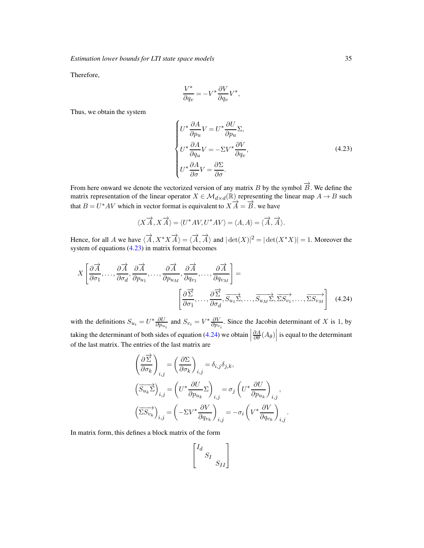Therefore,

<span id="page-34-0"></span>
$$
\frac{V^*}{\partial q_v} = -V^* \frac{\partial V}{\partial q_v} V^*,
$$

Thus, we obtain the system

$$
\begin{cases}\nU^* \frac{\partial A}{\partial p_u} V = U^* \frac{\partial U}{\partial p_u} \Sigma, \\
U^* \frac{\partial A}{\partial q_u} V = -\Sigma V^* \frac{\partial V}{\partial q_v}, \\
U^* \frac{\partial A}{\partial \sigma} V = \frac{\partial \Sigma}{\partial \sigma}.\n\end{cases}
$$
\n(4.23)

From here onward we denote the vectorized version of any matrix B by the symbol  $\overrightarrow{B}$ . We define the matrix representation of the linear operator  $X \in \mathcal{M}_{d \times d}(\mathbb{R})$  representing the linear map  $A \to B$  such that  $B = U^*AV$  which in vector format is equivalent to  $X\overrightarrow{A} = \overrightarrow{B}$ . we have

$$
\langle X \overrightarrow{A}, X \overrightarrow{A} \rangle = \langle U^* A V, U^* A V \rangle = \langle A, A \rangle = \langle \overrightarrow{A}, \overrightarrow{A} \rangle.
$$

Hence, for all A we have  $\langle \overrightarrow{A}, X^*X \overrightarrow{A} \rangle = \langle \overrightarrow{A}, \overrightarrow{A} \rangle$  and  $|\det(X)|^2 = |\det(X^*X)| = 1$ . Moreover the system of equations  $(4.23)$  in matrix format becomes

$$
X\left[\frac{\partial \overrightarrow{A}}{\partial \sigma_{1}},\ldots,\frac{\partial \overrightarrow{A}}{\partial \sigma_{d}},\frac{\partial \overrightarrow{A}}{\partial p_{u_{1}}},\ldots,\frac{\partial \overrightarrow{A}}{\partial p_{u_{M}}},\frac{\partial \overrightarrow{A}}{\partial q_{v_{1}}},\ldots,\frac{\partial \overrightarrow{A}}{\partial q_{v_{M}}}\right]=\left[\frac{\partial \overrightarrow{\Sigma}}{\partial \sigma_{1}},\ldots,\frac{\partial \overrightarrow{\Sigma}}{\partial \sigma_{d}},\overrightarrow{S_{u_{1}}\Sigma},\ldots,\overrightarrow{S_{u_{M}}\Sigma},\overrightarrow{\Sigma S_{v_{1}}},\ldots,\overrightarrow{\Sigma S_{v_{M}}}\right]
$$
(4.24)

with the definitions  $S_{u_i} = U^* \frac{\partial U}{\partial p_{u_i}}$  and  $S_{v_i} = V^* \frac{\partial V}{\partial p_{v_i}}$ . Since the Jacobin determinant of X is 1, by taking the determinant of both sides of equation  $(4.24)$  we obtain  $\left| \frac{1}{2} \right|$  $\left. \frac{\partial A}{\partial \theta} (A_{\theta}) \right|$  is equal to the determinant of the last matrix. The entries of the last matrix are

$$
\left(\frac{\partial \overrightarrow{\Sigma}}{\partial \sigma_k}\right)_{i,j} = \left(\frac{\partial \Sigma}{\partial \sigma_k}\right)_{i,j} = \delta_{i,j}\delta_{j,k},
$$
\n
$$
\left(\overrightarrow{S_{u_k}\Sigma}\right)_{i,j} = \left(U^*\frac{\partial U}{\partial p_{u_k}}\Sigma\right)_{i,j} = \sigma_j\left(U^*\frac{\partial U}{\partial p_{u_k}}\right)_{i,j},
$$
\n
$$
\left(\overrightarrow{\Sigma S_{v_k}}\right)_{i,j} = \left(-\Sigma V^*\frac{\partial V}{\partial q_{v_k}}\right)_{i,j} = -\sigma_i\left(V^*\frac{\partial V}{\partial q_{v_k}}\right)_{i,j}.
$$

In matrix form, this defines a block matrix of the form

<span id="page-34-1"></span>
$$
\begin{bmatrix} I_d & & \\ & S_I & \\ & & S_{II} \end{bmatrix}
$$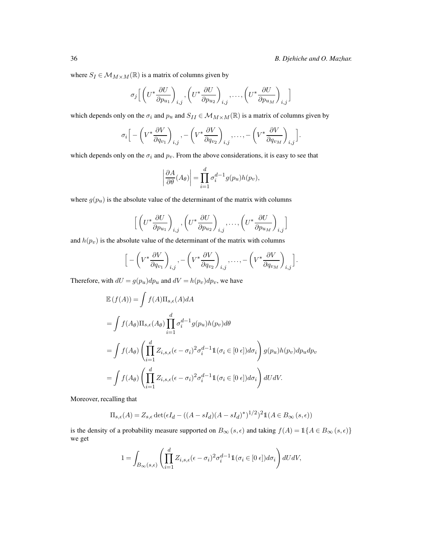where  $S_I \in \mathcal{M}_{M \times M}(\mathbb{R})$  is a matrix of columns given by

$$
\sigma_j \Big[ \left( U^* \frac{\partial U}{\partial p_{u_1}} \right)_{i,j}, \left( U^* \frac{\partial U}{\partial p_{u_2}} \right)_{i,j}, \dots, \left( U^* \frac{\partial U}{\partial p_{u_M}} \right)_{i,j} \Big]
$$

which depends only on the  $\sigma_i$  and  $p_u$  and  $S_{II} \in \mathcal{M}_{M \times M}(\mathbb{R})$  is a matrix of columns given by

$$
\sigma_i \Big[ -\left( V^* \frac{\partial V}{\partial q_{v_1}} \right)_{i,j}, -\left( V^* \frac{\partial V}{\partial q_{v_2}} \right)_{i,j}, \dots, -\left( V^* \frac{\partial V}{\partial q_{v_M}} \right)_{i,j} \Big].
$$

which depends only on the  $\sigma_i$  and  $p_v$ . From the above considerations, it is easy to see that

$$
\left|\frac{\partial A}{\partial \theta}(A_{\theta})\right| = \prod_{i=1}^{d} \sigma_i^{d-1} g(p_u) h(p_v),
$$

where  $g(p_u)$  is the absolute value of the determinant of the matrix with columns

$$
\Big[\left(U^*\frac{\partial U}{\partial p_{u_1}}\right)_{i,j},\left(U^*\frac{\partial U}{\partial p_{u_2}}\right)_{i,j},\ldots,\left(U^*\frac{\partial U}{\partial p_{u_M}}\right)_{i,j}\Big]
$$

and  $h(p_v)$  is the absolute value of the determinant of the matrix with columns

$$
\Big[ -\left( V^* \frac{\partial V}{\partial q_{v_1}} \right)_{i,j}, -\left( V^* \frac{\partial V}{\partial q_{v_2}} \right)_{i,j}, \dots, -\left( V^* \frac{\partial V}{\partial q_{v_M}} \right)_{i,j} \Big].
$$

Therefore, with  $dU = g(p_u)dp_u$  and  $dV = h(p_v)dp_v$ , we have

$$
\mathbb{E}(f(A)) = \int f(A)\Pi_{s,\epsilon}(A)dA
$$
  
= 
$$
\int f(A_{\theta})\Pi_{s,\epsilon}(A_{\theta})\prod_{i=1}^{d} \sigma_i^{d-1} g(p_u)h(p_v)d\theta
$$
  
= 
$$
\int f(A_{\theta})\left(\prod_{i=1}^{d} Z_{i,s,\epsilon}(\epsilon - \sigma_i)^2 \sigma_i^{d-1} \mathbb{1}(\sigma_i \in [0 \epsilon])d\sigma_i\right)g(p_u)h(p_v)dp_udp_v
$$
  
= 
$$
\int f(A_{\theta})\left(\prod_{i=1}^{d} Z_{i,s,\epsilon}(\epsilon - \sigma_i)^2 \sigma_i^{d-1} \mathbb{1}(\sigma_i \in [0 \epsilon])d\sigma_i\right)dUdV.
$$

Moreover, recalling that

$$
\Pi_{s,\epsilon}(A) = Z_{s,\epsilon} \det(\epsilon I_d - ((A - sI_d)(A - sI_d)^*)^{1/2})^2 \mathbb{1}(A \in B_{\infty}(s,\epsilon))
$$

is the density of a probability measure supported on  $B_{\infty}(s, \epsilon)$  and taking  $f(A) = \mathbb{1}\{A \in B_{\infty}(s, \epsilon)\}\$ we get

$$
1=\int_{B_\infty(s,\epsilon)}\left(\prod_{i=1}^d Z_{i,s,\epsilon}(\epsilon-\sigma_i)^2\sigma_i^{d-1}1\!\!1(\sigma_i\in[0\ \epsilon])d\sigma_i\right)dUdV,
$$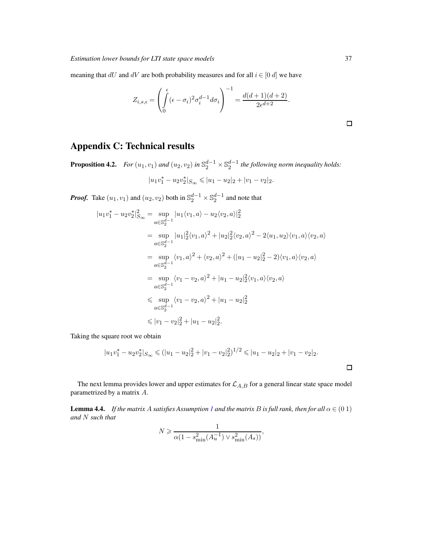meaning that  $dU$  and  $dV$  are both probability measures and for all  $i \in [0, d]$  we have

$$
Z_{i,s,\epsilon} = \left(\int\limits_0^{\epsilon} (\epsilon - \sigma_i)^2 \sigma_i^{d-1} d\sigma_i\right)^{-1} = \frac{d(d+1)(d+2)}{2\epsilon^{d+2}}.
$$

# Appendix C: Technical results

<span id="page-36-1"></span>**Proposition 4.2.** *For*  $(u_1, v_1)$  *and*  $(u_2, v_2)$  *in*  $\mathbb{S}_2^{d-1} \times \mathbb{S}_2^{d-1}$  *the following norm inequality holds:*  $|u_1v_1^*-u_2v_2^*|_{S_{\infty}} \leqslant |u_1-u_2|_2+|v_1-v_2|_2.$ 

*Proof.* Take  $(u_1, v_1)$  and  $(u_2, v_2)$  both in  $\mathbb{S}_2^{d-1} \times \mathbb{S}_2^{d-1}$  and note that

$$
|u_1v_1^* - u_2v_2^*|_{S_{\infty}}^2 = \sup_{a \in \mathbb{S}_2^{d-1}} |u_1\langle v_1, a \rangle - u_2\langle v_2, a \rangle|^2_2
$$
  
\n
$$
= \sup_{a \in \mathbb{S}_2^{d-1}} |u_1|^2_2\langle v_1, a \rangle^2 + |u_2|^2_2\langle v_2, a \rangle^2 - 2\langle u_1, u_2 \rangle \langle v_1, a \rangle \langle v_2, a \rangle
$$
  
\n
$$
= \sup_{a \in \mathbb{S}_2^{d-1}} \langle v_1, a \rangle^2 + \langle v_2, a \rangle^2 + (|u_1 - u_2|^2_2 - 2) \langle v_1, a \rangle \langle v_2, a \rangle
$$
  
\n
$$
= \sup_{a \in \mathbb{S}_2^{d-1}} \langle v_1 - v_2, a \rangle^2 + |u_1 - u_2|^2_2 \langle v_1, a \rangle \langle v_2, a \rangle
$$
  
\n
$$
\leq \sup_{a \in \mathbb{S}_2^{d-1}} \langle v_1 - v_2, a \rangle^2 + |u_1 - u_2|^2_2
$$
  
\n
$$
\leq |v_1 - v_2|^2_2 + |u_1 - u_2|^2_2.
$$

Taking the square root we obtain

$$
|u_1v_1^*-u_2v_2^*|_{S_{\infty}} \leq (|u_1-u_2|_2^2+|v_1-v_2|_2^2)^{1/2} \leq |u_1-u_2|_2+|v_1-v_2|_2.
$$

The next lemma provides lower and upper estimates for  $\mathcal{L}_{A,B}$  for a general linear state space model parametrized by a matrix A.

<span id="page-36-0"></span>**Lemma 4.4.** *If the matrix A satisfies Assumption [1](#page-15-3) and the matrix B is full rank, then for all*  $\alpha \in (0\ 1)$ *and* N *such that*

$$
N \geqslant \frac{1}{\alpha (1 - s_{\min}^2(A_u^{-1}) \vee s_{\min}^2(A_s))},
$$

 $\Box$ 

 $\Box$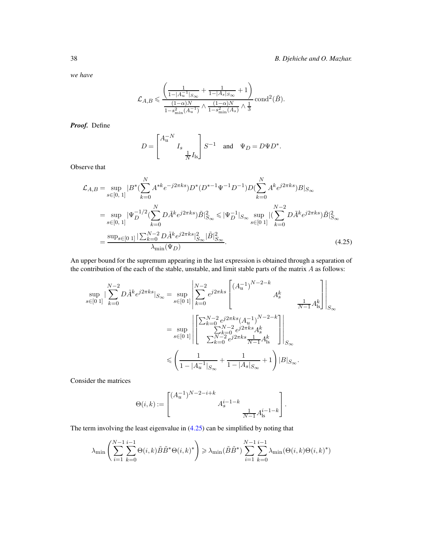*we have*

$$
\mathcal{L}_{A,B} \leqslant \frac{\left(\frac{1}{1-|A_u^{-1}|_{S_{\infty}}}+\frac{1}{1-|A_s|_{S_{\infty}}}+1\right)}{\frac{(1-\alpha)N}{1-s_{\min}^2(A_u^{-1})}\wedge \frac{(1-\alpha)N}{1-s_{\min}^2(A_s)}\wedge \frac{1}{3}\cosh^2(\tilde{B}).
$$

*Proof.* Define

<span id="page-37-0"></span>
$$
D = \begin{bmatrix} A_u^{-N} \\ & I_s \end{bmatrix} S^{-1} \quad \text{and} \quad \Psi_D = D \Psi D^*.
$$

Observe that

$$
\mathcal{L}_{A,B} = \sup_{s \in [0, 1]} |B^*(\sum_{k=0}^N A^{*k} e^{-j2\pi ks}) D^*(D^{*-1} \Psi^{-1} D^{-1}) D(\sum_{k=0}^N A^k e^{j2\pi ks}) B|_{S_{\infty}}
$$
  
\n
$$
= \sup_{s \in [0, 1]} |\Psi_D^{-1/2}(\sum_{k=0}^N D\tilde{A}^k e^{j2\pi ks}) \tilde{B}|_{S_{\infty}}^2 \le |\Psi_D^{-1}|_{S_{\infty}} \sup_{s \in [0, 1]} |(\sum_{k=0}^{N-2} D\tilde{A}^k e^{j2\pi ks}) \tilde{B}|_{S_{\infty}}^2
$$
  
\n
$$
= \frac{\sup_{s \in [0, 1]} |\sum_{k=0}^{N-2} D\tilde{A}^k e^{j2\pi ks}|_{S_{\infty}}^2 |\tilde{B}|_{S_{\infty}}^2}{\lambda_{\min}(\Psi_D)}.
$$
\n(4.25)

An upper bound for the supremum appearing in the last expression is obtained through a separation of the contribution of the each of the stable, unstable, and limit stable parts of the matrix  $A$  as follows:

$$
\sup_{s \in [0 \ 1]} |\sum_{k=0}^{N-2} D\tilde{A}^k e^{j2\pi ks} |_{S_{\infty}} = \sup_{s \in [0 \ 1]} \left| \sum_{k=0}^{N-2} e^{j2\pi ks} \begin{bmatrix} (A_u^{-1})^{N-2-k} & A_s^k & & \\ & A_s^k & & \\ & & \frac{1}{N-1} A_{\text{ls}}^k \end{bmatrix} \right|_{S_{\infty}}
$$
\n
$$
= \sup_{s \in [0 \ 1]} \left| \begin{bmatrix} \sum_{k=0}^{N-2} e^{j2\pi ks} (A_u^{-1})^{N-2-k} \\ \sum_{k=0}^{N-2} e^{j2\pi ks} A_s^k & \\ \sum_{k=0}^{N-2} e^{j2\pi ks} \frac{1}{N-1} A_{\text{ls}}^k & \end{bmatrix} \right|_{S_{\infty}}
$$
\n
$$
\leq \left( \frac{1}{1 - |A_u^{-1}|_{S_{\infty}}} + \frac{1}{1 - |A_s|_{S_{\infty}}} + 1 \right) |B|_{S_{\infty}}.
$$

Consider the matrices

$$
\Theta(i,k) := \begin{bmatrix} (A_u^{-1})^{N-2-i+k} & & \\ & A_s^{i-1-k} & \\ & & \frac{1}{N-1}A_{\rm ls}^{i-1-k} \end{bmatrix}.
$$

The term involving the least eigenvalue in [\(4.25\)](#page-37-0) can be simplified by noting that

$$
\lambda_{\min} \left( \sum_{i=1}^{N-1} \sum_{k=0}^{i-1} \Theta(i,k) \tilde{B} \tilde{B}^* \Theta(i,k)^* \right) \geq \lambda_{\min} (\tilde{B} \tilde{B}^*) \sum_{i=1}^{N-1} \sum_{k=0}^{i-1} \lambda_{\min} (\Theta(i,k) \Theta(i,k)^*)
$$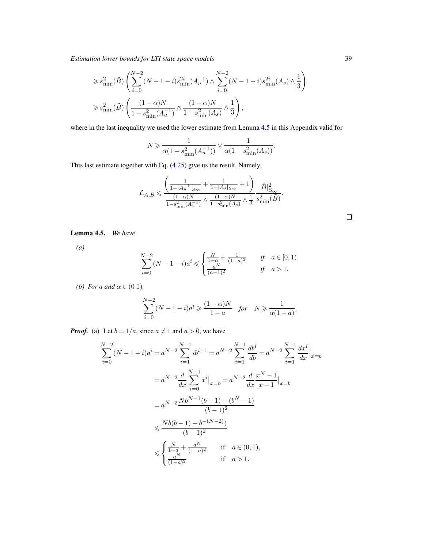*Estimation lower bounds for LTI state space models* 39

$$
\begin{split} &\geqslant s_{\min}^2(\tilde{B})\left(\sum_{i=0}^{N-2}(N-1-i)s_{\min}^{2i}(A^{-1}_u)\wedge\sum_{i=0}^{N-2}(N-1-i)s_{\min}^{2i}(A_s)\wedge\frac{1}{3}\right)\\ &\geqslant s_{\min}^2(\tilde{B})\left(\frac{(1-\alpha)N}{1-s_{\min}^2(A^{-1}_u)}\wedge\frac{(1-\alpha)N}{1-s_{\min}^2(A_s)}\wedge\frac{1}{3}\right), \end{split}
$$

where in the last inequality we used the lower estimate from Lemma [4.5](#page-38-0) in this Appendix valid for

$$
N \geqslant \frac{1}{\alpha(1 - s_{\min}^2(A_u^{-1}))} \vee \frac{1}{\alpha(1 - s_{\min}^2(A_s))}.
$$

This last estimate together with Eq. [\(4.25\)](#page-37-0) give us the result. Namely,

$$
\mathcal{L}_{A,B} \leqslant \frac{\left( \frac{1}{1-|A_u^{-1}|_{S_{\infty}}} + \frac{1}{1-|A_s|_{S_{\infty}}} + 1 \right)}{\frac{(1-\alpha)N}{1-s^2_{\min}(A_u^{-1})} \wedge \frac{(1-\alpha)N}{1-s^2_{\min}(A_s)} \wedge \frac{1}{3} \frac{s^2_{\min}(\tilde{B})}{\sinh} }.
$$

<span id="page-38-0"></span>Lemma 4.5. *We have*

*(a)*

$$
\sum_{i=0}^{N-2} (N-1-i)a^i \leqslant \begin{cases} \frac{N}{1-a} + \frac{1}{(1-a)^2} & \text{if } a \in [0,1),\\ \frac{a^N}{(a-1)^2} & \text{if } a > 1. \end{cases}
$$

*(b) For a and*  $\alpha \in (0, 1)$ *,* 

$$
\sum_{i=0}^{N-2} (N-1-i)a^i \geqslant \frac{(1-\alpha)N}{1-a} \quad \text{for} \quad N \geqslant \frac{1}{\alpha(1-a)}.
$$

*Proof.* (a) Let  $b = 1/a$ , since  $a \neq 1$  and  $a > 0$ , we have

$$
\sum_{i=0}^{N-2} (N-1-i)a^{i} = a^{N-2} \sum_{i=1}^{N-1} ib^{i-1} = a^{N-2} \sum_{i=1}^{N-1} \frac{db^{i}}{db} = a^{N-2} \sum_{i=1}^{N-1} \frac{dx^{i}}{dx} \Big|_{x=b}
$$
  
=  $a^{N-2} \frac{d}{dx} \sum_{i=0}^{N-1} x^{i} \Big|_{x=b} = a^{N-2} \frac{d}{dx} \frac{x^{N}-1}{x-1} \Big|_{x=b}$   
=  $a^{N-2} \frac{Nb^{N-1}(b-1) - (b^{N}-1)}{(b-1)^{2}}$   
 $\leq \frac{Nb(b-1) + b^{-(N-2)}}{(b-1)^{2}}$   
 $\leq \begin{cases} \frac{N}{1-a} + \frac{a^{N}}{(1-a)^{2}} & \text{if } a \in (0,1), \\ \frac{a^{N}}{(1-a)^{2}} & \text{if } a > 1. \end{cases}$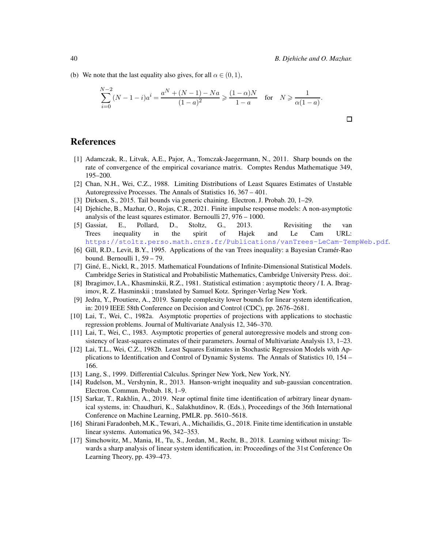(b) We note that the last equality also gives, for all  $\alpha \in (0,1)$ ,

$$
\sum_{i=0}^{N-2} (N-1-i)a^{i} = \frac{a^{N} + (N-1) - Na}{(1-a)^{2}} \ge \frac{(1-\alpha)N}{1-a} \quad \text{for} \quad N \ge \frac{1}{\alpha(1-a)}.
$$

# **References**

- <span id="page-39-7"></span>[1] Adamczak, R., Litvak, A.E., Pajor, A., Tomczak-Jaegermann, N., 2011. Sharp bounds on the rate of convergence of the empirical covariance matrix. Comptes Rendus Mathematique 349, 195–200.
- [2] Chan, N.H., Wei, C.Z., 1988. Limiting Distributions of Least Squares Estimates of Unstable Autoregressive Processes. The Annals of Statistics 16, 367 – 401.
- <span id="page-39-12"></span>[3] Dirksen, S., 2015. Tail bounds via generic chaining. Electron. J. Probab. 20, 1–29.
- [4] Djehiche, B., Mazhar, O., Rojas, C.R., 2021. Finite impulse response models: A non-asymptotic analysis of the least squares estimator. Bernoulli 27, 976 – 1000.
- <span id="page-39-9"></span>[5] Gassiat, E., Pollard, D., Stoltz, G., 2013. Revisiting the van Trees inequality in the spirit of Hajek and Le Cam URL: <https://stoltz.perso.math.cnrs.fr/Publications/vanTrees-LeCam-TempWeb.pdf>.
- <span id="page-39-8"></span>[6] Gill, R.D., Levit, B.Y., 1995. Applications of the van Trees inequality: a Bayesian Cramér-Rao bound. Bernoulli 1, 59 – 79.
- <span id="page-39-11"></span>[7] Giné, E., Nickl, R., 2015. Mathematical Foundations of Infinite-Dimensional Statistical Models. Cambridge Series in Statistical and Probabilistic Mathematics, Cambridge University Press. doi:.
- <span id="page-39-6"></span>[8] Ibragimov, I.A., Khasminskii, R.Z., 1981. Statistical estimation : asymptotic theory / I. A. Ibragimov, R. Z. Hasminskii ; translated by Samuel Kotz. Springer-Verlag New York.
- <span id="page-39-1"></span>[9] Jedra, Y., Proutiere, A., 2019. Sample complexity lower bounds for linear system identification, in: 2019 IEEE 58th Conference on Decision and Control (CDC), pp. 2676–2681.
- <span id="page-39-4"></span>[10] Lai, T., Wei, C., 1982a. Asymptotic properties of projections with applications to stochastic regression problems. Journal of Multivariate Analysis 12, 346–370.
- <span id="page-39-5"></span>[11] Lai, T., Wei, C., 1983. Asymptotic properties of general autoregressive models and strong consistency of least-squares estimates of their parameters. Journal of Multivariate Analysis 13, 1–23.
- [12] Lai, T.L., Wei, C.Z., 1982b. Least Squares Estimates in Stochastic Regression Models with Applications to Identification and Control of Dynamic Systems. The Annals of Statistics 10, 154 – 166.
- <span id="page-39-10"></span>[13] Lang, S., 1999. Differential Calculus. Springer New York, New York, NY.
- <span id="page-39-13"></span>[14] Rudelson, M., Vershynin, R., 2013. Hanson-wright inequality and sub-gaussian concentration. Electron. Commun. Probab. 18, 1–9.
- <span id="page-39-2"></span>[15] Sarkar, T., Rakhlin, A., 2019. Near optimal finite time identification of arbitrary linear dynamical systems, in: Chaudhuri, K., Salakhutdinov, R. (Eds.), Proceedings of the 36th International Conference on Machine Learning, PMLR. pp. 5610–5618.
- <span id="page-39-3"></span>[16] Shirani Faradonbeh, M.K., Tewari, A., Michailidis, G., 2018. Finite time identification in unstable linear systems. Automatica 96, 342–353.
- <span id="page-39-0"></span>[17] Simchowitz, M., Mania, H., Tu, S., Jordan, M., Recht, B., 2018. Learning without mixing: Towards a sharp analysis of linear system identification, in: Proceedings of the 31st Conference On Learning Theory, pp. 439–473.